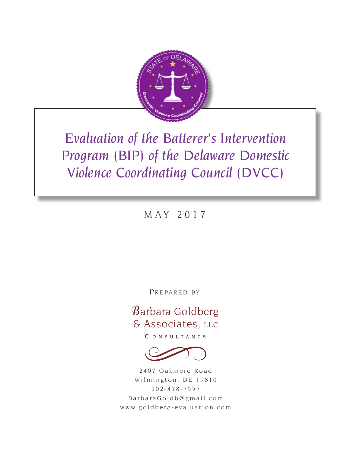

*Evaluation of the Batterer's Intervention Program (BIP) of the Delaware Domestic Violence Coordinating Council (DVCC)*

MAY 2017

PREPARED BY

# Barbara Goldberg & Associates, LLC

CONSULTANTS



2407 Oakmere Road Wilmington, DE 19810 302-478-7557 BarbaraGoldb@gmail.com www.goldberg-evaluation.com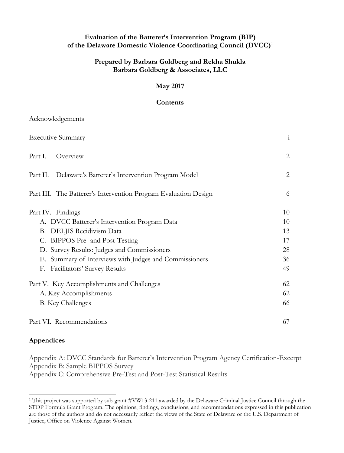#### **Evaluation of the Batterer's Intervention Program (BIP) of the Delaware Domestic Violence Coordinating Council (DVCC)**<sup>1</sup>

## **Prepared by Barbara Goldberg and Rekha Shukla Barbara Goldberg & Associates, LLC**

#### **May 2017**

#### **Contents**

| <b>Executive Summary</b>                                        | $\mathbf{i}$   |
|-----------------------------------------------------------------|----------------|
|                                                                 |                |
| Part I.<br>Overview                                             | $\overline{2}$ |
| Part II. Delaware's Batterer's Intervention Program Model       | $\mathbf{2}$   |
| Part III. The Batterer's Intervention Program Evaluation Design | 6              |
| Part IV. Findings                                               | 10             |
| A. DVCC Batterer's Intervention Program Data                    | 10             |
| B. DELJIS Recidivism Data                                       | 13             |
| C. BIPPOS Pre- and Post-Testing                                 | 17             |
| D. Survey Results: Judges and Commissioners                     | 28             |
| E. Summary of Interviews with Judges and Commissioners          | 36             |
| <b>Facilitators' Survey Results</b><br>F.                       | 49             |
| Part V. Key Accomplishments and Challenges                      | 62             |
| A. Key Accomplishments                                          | 62             |
| <b>B.</b> Key Challenges                                        | 66             |
| Part VI. Recommendations                                        | 67             |

## **Appendices**

Acknowledgements

Appendix A: DVCC Standards for Batterer's Intervention Program Agency Certification-Excerpt Appendix B: Sample BIPPOS Survey Appendix C: Comprehensive Pre-Test and Post-Test Statistical Results

<sup>&</sup>lt;sup>1</sup> This project was supported by sub-grant #VW13-211 awarded by the Delaware Criminal Justice Council through the STOP Formula Grant Program. The opinions, findings, conclusions, and recommendations expressed in this publication are those of the authors and do not necessarily reflect the views of the State of Delaware or the U.S. Department of Justice, Office on Violence Against Women.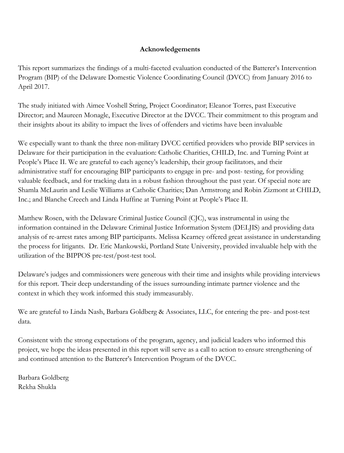## **Acknowledgements**

This report summarizes the findings of a multi-faceted evaluation conducted of the Batterer's Intervention Program (BIP) of the Delaware Domestic Violence Coordinating Council (DVCC) from January 2016 to April 2017.

The study initiated with Aimee Voshell String, Project Coordinator; Eleanor Torres, past Executive Director; and Maureen Monagle, Executive Director at the DVCC. Their commitment to this program and their insights about its ability to impact the lives of offenders and victims have been invaluable

We especially want to thank the three non-military DVCC certified providers who provide BIP services in Delaware for their participation in the evaluation: Catholic Charities, CHILD, Inc. and Turning Point at People's Place II. We are grateful to each agency's leadership, their group facilitators, and their administrative staff for encouraging BIP participants to engage in pre- and post- testing, for providing valuable feedback, and for tracking data in a robust fashion throughout the past year. Of special note are Shamla McLaurin and Leslie Williams at Catholic Charities; Dan Armstrong and Robin Zizmont at CHILD, Inc.; and Blanche Creech and Linda Huffine at Turning Point at People's Place II.

Matthew Rosen, with the Delaware Criminal Justice Council (CJC), was instrumental in using the information contained in the Delaware Criminal Justice Information System (DELJIS) and providing data analysis of re-arrest rates among BIP participants. Melissa Kearney offered great assistance in understanding the process for litigants. Dr. Eric Mankowski, Portland State University, provided invaluable help with the utilization of the BIPPOS pre-test/post-test tool.

Delaware's judges and commissioners were generous with their time and insights while providing interviews for this report. Their deep understanding of the issues surrounding intimate partner violence and the context in which they work informed this study immeasurably.

We are grateful to Linda Nash, Barbara Goldberg & Associates, LLC, for entering the pre- and post-test data.

Consistent with the strong expectations of the program, agency, and judicial leaders who informed this project, we hope the ideas presented in this report will serve as a call to action to ensure strengthening of and continued attention to the Batterer's Intervention Program of the DVCC.

Barbara Goldberg Rekha Shukla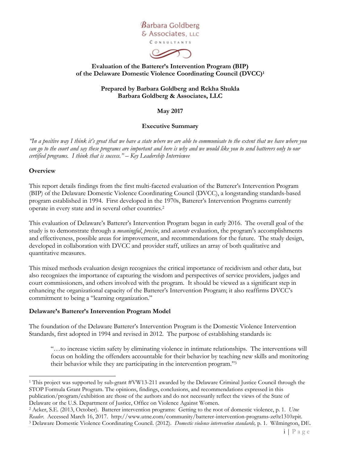

 $\infty$ 

#### **Evaluation of the Batterer's Intervention Program (BIP) of the Delaware Domestic Violence Coordinating Council (DVCC)<sup>1</sup>**

#### **Prepared by Barbara Goldberg and Rekha Shukla Barbara Goldberg & Associates, LLC**

#### **May 2017**

#### **Executive Summary**

*"In a positive way I think it's great that we have a state where we are able to communicate to the extent that we have where you can go to the court and say these programs are important and here is why and we would like you to send batterers only to our certified programs. I think that is success." – Key Leadership Interviewee*

#### **Overview**

This report details findings from the first multi-faceted evaluation of the Batterer's Intervention Program (BIP) of the Delaware Domestic Violence Coordinating Council (DVCC), a longstanding standards-based program established in 1994. First developed in the 1970s, Batterer's Intervention Programs currently operate in every state and in several other countries.<sup>2</sup>

This evaluation of Delaware's Batterer's Intervention Program began in early 2016. The overall goal of the study is to demonstrate through a *meaningful*, *precise*, and *accurate* evaluation, the program's accomplishments and effectiveness, possible areas for improvement, and recommendations for the future. The study design, developed in collaboration with DVCC and provider staff, utilizes an array of both qualitative and quantitative measures.

This mixed methods evaluation design recognizes the critical importance of recidivism and other data, but also recognizes the importance of capturing the wisdom and perspectives of service providers, judges and court commissioners, and others involved with the program. It should be viewed as a significant step in enhancing the organizational capacity of the Batterer's Intervention Program; it also reaffirms DVCC's commitment to being a "learning organization."

#### **Delaware's Batterer's Intervention Program Model**

The foundation of the Delaware Batterer's Intervention Program is the Domestic Violence Intervention Standards, first adopted in 1994 and revised in 2012. The purpose of establishing standards is:

"…to increase victim safety by eliminating violence in intimate relationships. The interventions will focus on holding the offenders accountable for their behavior by teaching new skills and monitoring their behavior while they are participating in the intervention program."<sup>3</sup>

<sup>1</sup> This project was supported by sub-grant #VW13-211 awarded by the Delaware Criminal Justice Council through the STOP Formula Grant Program. The opinions, findings, conclusions, and recommendations expressed in this publication/program/exhibition are those of the authors and do not necessarily reflect the views of the State of Delaware or the U.S. Department of Justice, Office on Violence Against Women.

<sup>2</sup> Acker, S.E. (2013, October). Batterer intervention programs: Getting to the root of domestic violence, p. 1. *Utne Reader*. Accessed March 16, 2017. http://www.utne.com/community/batterer-intervention-programs-ze0z1310zpit. <sup>3</sup> Delaware Domestic Violence Coordinating Council. (2012). *Domestic violence intervention standards,* p. 1. Wilmington, DE.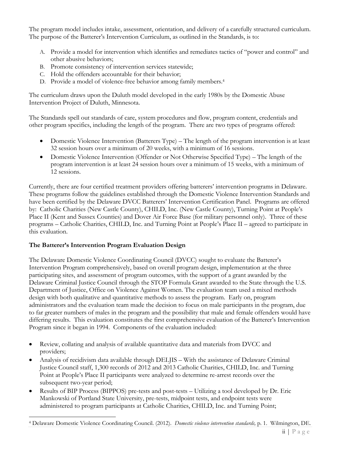The program model includes intake, assessment, orientation, and delivery of a carefully structured curriculum. The purpose of the Batterer's Intervention Curriculum, as outlined in the Standards, is to:

- A. Provide a model for intervention which identifies and remediates tactics of "power and control" and other abusive behaviors;
- B. Promote consistency of intervention services statewide;
- C. Hold the offenders accountable for their behavior;
- D. Provide a model of violence-free behavior among family members.<sup>4</sup>

The curriculum draws upon the Duluth model developed in the early 1980s by the Domestic Abuse Intervention Project of Duluth, Minnesota.

The Standards spell out standards of care, system procedures and flow, program content, credentials and other program specifics, including the length of the program. There are two types of programs offered:

- Domestic Violence Intervention (Batterers Type) The length of the program intervention is at least 32 session hours over a minimum of 20 weeks, with a minimum of 16 sessions.
- Domestic Violence Intervention (Offender or Not Otherwise Specified Type) The length of the program intervention is at least 24 session hours over a minimum of 15 weeks, with a minimum of 12 sessions.

Currently, there are four certified treatment providers offering batterers' intervention programs in Delaware. These programs follow the guidelines established through the Domestic Violence Intervention Standards and have been certified by the Delaware DVCC Batterers' Intervention Certification Panel. Programs are offered by: Catholic Charities (New Castle County), CHILD, Inc. (New Castle County), Turning Point at People's Place II (Kent and Sussex Counties) and Dover Air Force Base (for military personnel only). Three of these programs – Catholic Charities, CHILD, Inc. and Turning Point at People's Place II – agreed to participate in this evaluation.

## **The Batterer's Intervention Program Evaluation Design**

The Delaware Domestic Violence Coordinating Council (DVCC) sought to evaluate the Batterer's Intervention Program comprehensively, based on overall program design, implementation at the three participating sites, and assessment of program outcomes, with the support of a grant awarded by the Delaware Criminal Justice Council through the STOP Formula Grant awarded to the State through the U.S. Department of Justice, Office on Violence Against Women. The evaluation team used a mixed methods design with both qualitative and quantitative methods to assess the program. Early on, program administrators and the evaluation team made the decision to focus on male participants in the program, due to far greater numbers of males in the program and the possibility that male and female offenders would have differing results. This evaluation constitutes the first comprehensive evaluation of the Batterer's Intervention Program since it began in 1994. Components of the evaluation included:

- Review, collating and analysis of available quantitative data and materials from DVCC and providers;
- Analysis of recidivism data available through DELJIS With the assistance of Delaware Criminal Justice Council staff, 1,300 records of 2012 and 2013 Catholic Charities, CHILD, Inc. and Turning Point at People's Place II participants were analyzed to determine re-arrest records over the subsequent two-year period;
- Results of BIP Process (BIPPOS) pre-tests and post-tests Utilizing a tool developed by Dr. Eric Mankowski of Portland State University, pre-tests, midpoint tests, and endpoint tests were administered to program participants at Catholic Charities, CHILD, Inc. and Turning Point;

<sup>4</sup> Delaware Domestic Violence Coordinating Council. (2012). *Domestic violence intervention standards,* p. 1. Wilmington, DE.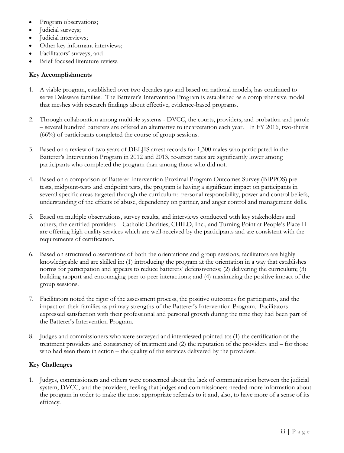- Program observations;
- Judicial surveys;
- Judicial interviews;
- Other key informant interviews;
- Facilitators' surveys; and
- Brief focused literature review.

#### **Key Accomplishments**

- 1. A viable program, established over two decades ago and based on national models, has continued to serve Delaware families. The Batterer's Intervention Program is established as a comprehensive model that meshes with research findings about effective, evidence-based programs.
- 2. Through collaboration among multiple systems DVCC, the courts, providers, and probation and parole – several hundred batterers are offered an alternative to incarceration each year. In FY 2016, two-thirds (66%) of participants completed the course of group sessions.
- 3. Based on a review of two years of DELJIS arrest records for 1,300 males who participated in the Batterer's Intervention Program in 2012 and 2013, re-arrest rates are significantly lower among participants who completed the program than among those who did not.
- 4. Based on a comparison of Batterer Intervention Proximal Program Outcomes Survey (BIPPOS) pretests, midpoint-tests and endpoint tests, the program is having a significant impact on participants in several specific areas targeted through the curriculum: personal responsibility, power and control beliefs, understanding of the effects of abuse, dependency on partner, and anger control and management skills.
- 5. Based on multiple observations, survey results, and interviews conducted with key stakeholders and others, the certified providers – Catholic Charities, CHILD, Inc., and Turning Point at People's Place II – are offering high quality services which are well-received by the participants and are consistent with the requirements of certification.
- 6. Based on structured observations of both the orientations and group sessions, facilitators are highly knowledgeable and are skilled in: (1) introducing the program at the orientation in a way that establishes norms for participation and appears to reduce batterers' defensiveness; (2) delivering the curriculum; (3) building rapport and encouraging peer to peer interactions; and (4) maximizing the positive impact of the group sessions.
- 7. Facilitators noted the rigor of the assessment process, the positive outcomes for participants, and the impact on their families as primary strengths of the Batterer's Intervention Program. Facilitators expressed satisfaction with their professional and personal growth during the time they had been part of the Batterer's Intervention Program.
- 8. Judges and commissioners who were surveyed and interviewed pointed to: (1) the certification of the treatment providers and consistency of treatment and (2) the reputation of the providers and – for those who had seen them in action – the quality of the services delivered by the providers.

#### **Key Challenges**

1. Judges, commissioners and others were concerned about the lack of communication between the judicial system, DVCC, and the providers, feeling that judges and commissioners needed more information about the program in order to make the most appropriate referrals to it and, also, to have more of a sense of its efficacy.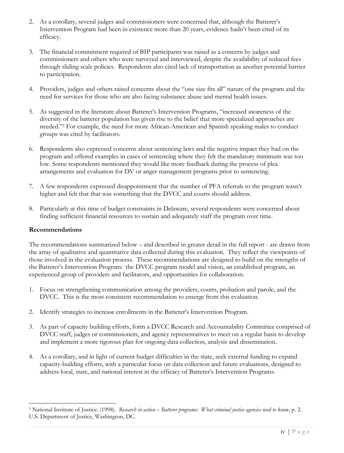- 2. As a corollary, several judges and commissioners were concerned that, although the Batterer's Intervention Program had been in existence more than 20 years, evidence hadn't been cited of its efficacy.
- 3. The financial commitment required of BIP participants was raised as a concern by judges and commissioners and others who were surveyed and interviewed, despite the availability of reduced fees through sliding scale policies. Respondents also cited lack of transportation as another potential barrier to participation.
- 4. Providers, judges and others raised concerns about the "one size fits all" nature of the program and the need for services for those who are also facing substance abuse and mental health issues.
- 5. As suggested in the literature about Batterer's Intervention Programs, "increased awareness of the diversity of the batterer population has given rise to the belief that more specialized approaches are needed."<sup>5</sup> For example, the need for more African-American and Spanish speaking males to conduct groups was cited by facilitators.
- 6. Respondents also expressed concerns about sentencing laws and the negative impact they had on the program and offered examples in cases of sentencing where they felt the mandatory minimum was too low. Some respondents mentioned they would like more feedback during the process of plea arrangements and evaluation for DV or anger management programs prior to sentencing.
- 7. A few respondents expressed disappointment that the number of PFA referrals to the program wasn't higher and felt that that was something that the DVCC and courts should address.
- 8. Particularly at this time of budget constraints in Delaware, several respondents were concerned about finding sufficient financial resources to sustain and adequately staff the program over time.

#### **Recommendations**

The recommendations summarized below – and described in greater detail in the full report - are drawn from the array of qualitative and quantitative data collected during this evaluation. They reflect the viewpoints of those involved in the evaluation process. These recommendations are designed to build on the strengths of the Batterer's Intervention Program: the DVCC program model and vision, an established program, an experienced group of providers and facilitators, and opportunities for collaboration.

- 1. Focus on strengthening communication among the providers, courts, probation and parole, and the DVCC. This is the most consistent recommendation to emerge from this evaluation.
- 2. Identify strategies to increase enrollments in the Batterer's Intervention Program.
- 3. As part of capacity building efforts, form a DVCC Research and Accountability Committee comprised of DVCC staff, judges or commissioners, and agency representatives to meet on a regular basis to develop and implement a more rigorous plan for ongoing data collection, analysis and dissemination.
- 4. As a corollary, and in light of current budget difficulties in the state, seek external funding to expand capacity-building efforts, with a particular focus on data collection and future evaluations, designed to address local, state, and national interest in the efficacy of Batterer's Intervention Programs.

<sup>5</sup> National Institute of Justice. (1998). *Research in action – Batterer programs: What criminal justice agencies need to know*, p. 2. U.S. Department of Justice, Washington, DC.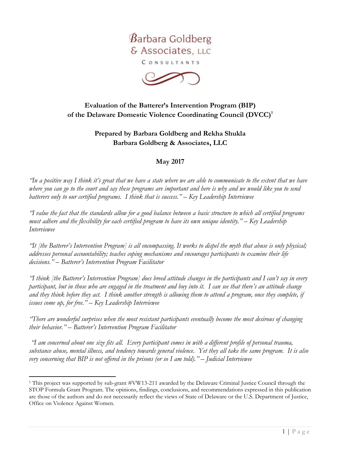

CONSULTANTS



# **Evaluation of the Batterer's Intervention Program (BIP) of the Delaware Domestic Violence Coordinating Council (DVCC)<sup>1</sup>**

## **Prepared by Barbara Goldberg and Rekha Shukla Barbara Goldberg & Associates, LLC**

## **May 2017**

*"In a positive way I think it's great that we have a state where we are able to communicate to the extent that we have where you can go to the court and say these programs are important and here is why and we would like you to send batterers only to our certified programs. I think that is success." – Key Leadership Interviewee*

*"I value the fact that the standards allow for a good balance between a basic structure to which all certified programs must adhere and the flexibility for each certified program to have its own unique identity." – Key Leadership Interviewee*

*"It [the Batterer's Intervention Program] is all encompassing. It works to dispel the myth that abuse is only physical; addresses personal accountability; teaches coping mechanisms and encourages participants to examine their life decisions." – Batterer's Intervention Program Facilitator*

*"I think [the Batterer's Intervention Program] does breed attitude changes in the participants and I can't say in every participant, but in those who are engaged in the treatment and buy into it. I can see that there's an attitude change and they think before they act. I think another strength is allowing them to attend a program, once they complete, if issues come up, for free." – Key Leadership Interviewee*

*"There are wonderful surprises when the most resistant participants eventually become the most desirous of changing their behavior." – Batterer's Intervention Program Facilitator*

*"I am concerned about one size fits all. Every participant comes in with a different profile of personal trauma, substance abuse, mental illness, and tendency towards general violence. Yet they all take the same program. It is also very concerning that BIP is not offered in the prisons (or so I am told)." – Judicial Interviewee*

<sup>1</sup> This project was supported by sub-grant #VW13-211 awarded by the Delaware Criminal Justice Council through the STOP Formula Grant Program. The opinions, findings, conclusions, and recommendations expressed in this publication are those of the authors and do not necessarily reflect the views of State of Delaware or the U.S. Department of Justice, Office on Violence Against Women.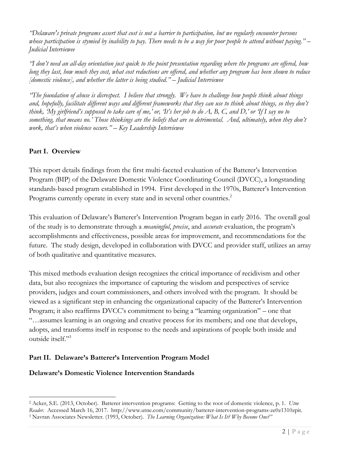*"Delaware's private programs assert that cost is not a barrier to participation, but we regularly encounter persons whose participation is stymied by inability to pay. There needs to be a way for poor people to attend without paying." – Judicial Interviewee*

*"I don't need an all-day orientation just quick to the point presentation regarding where the programs are offered, how long they last, how much they cost, what cost reductions are offered, and whether any program has been shown to reduce [domestic violence], and whether the latter is being studied." – Judicial Interviewee*

*"The foundation of abuse is disrespect. I believe that strongly. We have to challenge how people think about things and, hopefully, facilitate different ways and different frameworks that they can use to think about things, so they don't think, 'My girlfriend's supposed to take care of me,' or, 'It's her job to do A, B, C, and D,' or 'If I say no to something, that means no.' Those thinkings are the beliefs that are so detrimental. And, ultimately, when they don't work, that's when violence occurs." – Key Leadership Interviewee*

## **Part I. Overview**

This report details findings from the first multi-faceted evaluation of the Batterer's Intervention Program (BIP) of the Delaware Domestic Violence Coordinating Council (DVCC), a longstanding standards-based program established in 1994. First developed in the 1970s, Batterer's Intervention Programs currently operate in every state and in several other countries.<sup>2</sup>

This evaluation of Delaware's Batterer's Intervention Program began in early 2016. The overall goal of the study is to demonstrate through a *meaningful*, *precise*, and *accurate* evaluation, the program's accomplishments and effectiveness, possible areas for improvement, and recommendations for the future. The study design, developed in collaboration with DVCC and provider staff, utilizes an array of both qualitative and quantitative measures.

This mixed methods evaluation design recognizes the critical importance of recidivism and other data, but also recognizes the importance of capturing the wisdom and perspectives of service providers, judges and court commissioners, and others involved with the program. It should be viewed as a significant step in enhancing the organizational capacity of the Batterer's Intervention Program; it also reaffirms DVCC's commitment to being a "learning organization" – one that "…assumes learning is an ongoing and creative process for its members; and one that develops, adopts, and transforms itself in response to the needs and aspirations of people both inside and outside itself."<sup>3</sup>

## **Part II. Delaware's Batterer's Intervention Program Model**

#### **Delaware's Domestic Violence Intervention Standards**

<sup>2</sup> Acker, S.E. (2013, October). Batterer intervention programs: Getting to the root of domestic violence, p. 1*. Utne Reader*. Accessed March 16, 2017. http://www.utne.com/community/batterer-intervention-programs-ze0z1310zpit. <sup>3</sup> Navran Associates Newsletter. (1993, October). *The Learning Organization: What Is It? Why Become One?"*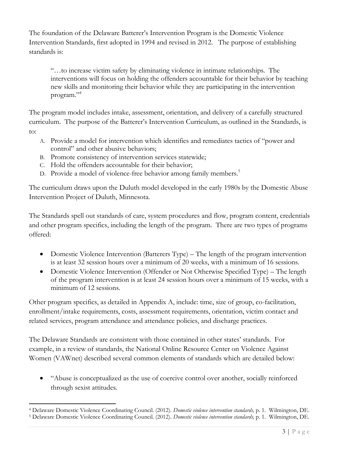The foundation of the Delaware Batterer's Intervention Program is the Domestic Violence Intervention Standards, first adopted in 1994 and revised in 2012. The purpose of establishing standards is:

"…to increase victim safety by eliminating violence in intimate relationships. The interventions will focus on holding the offenders accountable for their behavior by teaching new skills and monitoring their behavior while they are participating in the intervention program."<sup>4</sup>

The program model includes intake, assessment, orientation, and delivery of a carefully structured curriculum. The purpose of the Batterer's Intervention Curriculum, as outlined in the Standards, is to:

- A. Provide a model for intervention which identifies and remediates tactics of "power and control" and other abusive behaviors;
- B. Promote consistency of intervention services statewide;
- C. Hold the offenders accountable for their behavior;
- D. Provide a model of violence-free behavior among family members.<sup>5</sup>

The curriculum draws upon the Duluth model developed in the early 1980s by the Domestic Abuse Intervention Project of Duluth, Minnesota.

The Standards spell out standards of care, system procedures and flow, program content, credentials and other program specifics, including the length of the program. There are two types of programs offered:

- Domestic Violence Intervention (Batterers Type) The length of the program intervention is at least 32 session hours over a minimum of 20 weeks, with a minimum of 16 sessions.
- Domestic Violence Intervention (Offender or Not Otherwise Specified Type) The length of the program intervention is at least 24 session hours over a minimum of 15 weeks, with a minimum of 12 sessions.

Other program specifics, as detailed in Appendix A, include: time, size of group, co-facilitation, enrollment/intake requirements, costs, assessment requirements, orientation, victim contact and related services, program attendance and attendance policies, and discharge practices.

The Delaware Standards are consistent with those contained in other states' standards. For example, in a review of standards, the National Online Resource Center on Violence Against Women (VAWnet) described several common elements of standards which are detailed below:

 "Abuse is conceptualized as the use of coercive control over another, socially reinforced through sexist attitudes.

<sup>4</sup> Delaware Domestic Violence Coordinating Council. (2012). *Domestic violence intervention standards,* p. 1. Wilmington, DE.

<sup>5</sup> Delaware Domestic Violence Coordinating Council. (2012). *Domestic violence intervention standards,* p. 1. Wilmington, DE.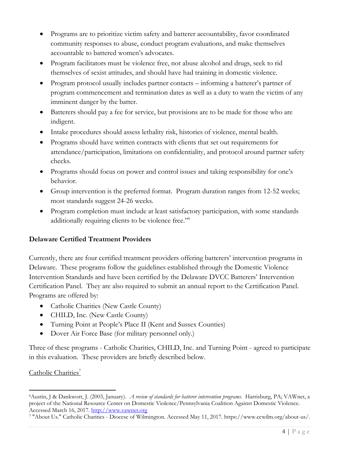- Programs are to prioritize victim safety and batterer accountability, favor coordinated community responses to abuse, conduct program evaluations, and make themselves accountable to battered women's advocates.
- Program facilitators must be violence free, not abuse alcohol and drugs, seek to rid themselves of sexist attitudes, and should have had training in domestic violence.
- Program protocol usually includes partner contacts informing a batterer's partner of program commencement and termination dates as well as a duty to warn the victim of any imminent danger by the batter.
- Batterers should pay a fee for service, but provisions are to be made for those who are indigent.
- Intake procedures should assess lethality risk, histories of violence, mental health.
- Programs should have written contracts with clients that set out requirements for attendance/participation, limitations on confidentiality, and protocol around partner safety checks.
- Programs should focus on power and control issues and taking responsibility for one's behavior.
- Group intervention is the preferred format. Program duration ranges from 12-52 weeks; most standards suggest 24-26 weeks.
- Program completion must include at least satisfactory participation, with some standards additionally requiring clients to be violence free."<sup>6</sup>

## **Delaware Certified Treatment Providers**

Currently, there are four certified treatment providers offering batterers' intervention programs in Delaware. These programs follow the guidelines established through the Domestic Violence Intervention Standards and have been certified by the Delaware DVCC Batterers' Intervention Certification Panel. They are also required to submit an annual report to the Certification Panel. Programs are offered by:

- Catholic Charities (New Castle County)
- CHILD, Inc. (New Castle County)
- Turning Point at People's Place II (Kent and Sussex Counties)
- Dover Air Force Base (for military personnel only.)

Three of these programs - Catholic Charities, CHILD, Inc. and Turning Point - agreed to participate in this evaluation. These providers are briefly described below.

# Catholic Charities<sup>7</sup>

<sup>6</sup>Austin, J & Dankwort, J. (2003, January). *A review of standards for batterer intervention programs.* Harrisburg, PA; VAWnet, a project of the National Resource Center on Domestic Violence/Pennsylvania Coalition Against Domestic Violence. Accessed March 16, 2017. http://www.vawnet.org

<sup>7</sup> "About Us." Catholic Charities - Diocese of Wilmington. Accessed May 11, 2017. https://www.ccwilm.org/about-us/.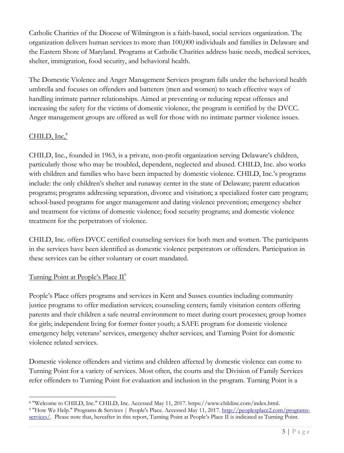Catholic Charities of the Diocese of Wilmington is a faith-based, social services organization. The organization delivers human services to more than 100,000 individuals and families in Delaware and the Eastern Shore of Maryland. Programs at Catholic Charities address basic needs, medical services, shelter, immigration, food security, and behavioral health.

The Domestic Violence and Anger Management Services program falls under the behavioral health umbrella and focuses on offenders and batterers (men and women) to teach effective ways of handling intimate partner relationships. Aimed at preventing or reducing repeat offenses and increasing the safety for the victims of domestic violence, the program is certified by the DVCC. Anger management groups are offered as well for those with no intimate partner violence issues.

# $CHILD, Inc.<sup>8</sup>$

CHILD, Inc., founded in 1963, is a private, non-profit organization serving Delaware's children, particularly those who may be troubled, dependent, neglected and abused. CHILD, Inc. also works with children and families who have been impacted by domestic violence. CHILD, Inc.'s programs include: the only children's shelter and runaway center in the state of Delaware; parent education programs; programs addressing separation, divorce and visitation; a specialized foster care program; school-based programs for anger management and dating violence prevention; emergency shelter and treatment for victims of domestic violence; food security programs; and domestic violence treatment for the perpetrators of violence.

CHILD, Inc. offers DVCC certified counseling services for both men and women. The participants in the services have been identified as domestic violence perpetrators or offenders. Participation in these services can be either voluntary or court mandated.

## Turning Point at People's Place  $II^9$

People's Place offers programs and services in Kent and Sussex counties including community justice programs to offer mediation services; counseling centers; family visitation centers offering parents and their children a safe neutral environment to meet during court processes; group homes for girls; independent living for former foster youth; a SAFE program for domestic violence emergency help; veterans' services, emergency shelter services; and Turning Point for domestic violence related services.

Domestic violence offenders and victims and children affected by domestic violence can come to Turning Point for a variety of services. Most often, the courts and the Division of Family Services refer offenders to Turning Point for evaluation and inclusion in the program. Turning Point is a

<sup>8</sup> "Welcome to CHILD, Inc." CHILD, Inc. Accessed May 11, 2017. https://www.childinc.com/index.html.

<sup>9 &</sup>quot;How We Help." Programs & Services | People's Place. Accessed May 11, 2017. http://peoplesplace2.com/programsservices/. Please note that, hereafter in this report, Turning Point at People's Place II is indicated as Turning Point.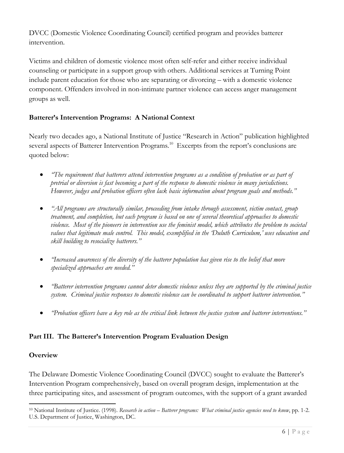DVCC (Domestic Violence Coordinating Council) certified program and provides batterer intervention.

Victims and children of domestic violence most often self-refer and either receive individual counseling or participate in a support group with others. Additional services at Turning Point include parent education for those who are separating or divorcing – with a domestic violence component. Offenders involved in non-intimate partner violence can access anger management groups as well.

## **Batterer's Intervention Programs: A National Context**

Nearly two decades ago, a National Institute of Justice "Research in Action" publication highlighted several aspects of Batterer Intervention Programs.<sup>10</sup> Excerpts from the report's conclusions are quoted below:

- *"The requirement that batterers attend intervention programs as a condition of probation or as part of pretrial or diversion is fast becoming a part of the response to domestic violence in many jurisdictions. However, judges and probation officers often lack basic information about program goals and methods."*
- *"All programs are structurally similar, proceeding from intake through assessment, victim contact, group treatment, and completion, but each program is based on one of several theoretical approaches to domestic violence. Most of the pioneers in intervention use the feminist model, which attributes the problem to societal values that legitimate male control. This model, exemplified in the 'Duluth Curriculum,' uses education and skill building to resocialize batterers."*
- *"Increased awareness of the diversity of the batterer population has given rise to the belief that more specialized approaches are needed."*
- *"Batterer intervention programs cannot deter domestic violence unless they are supported by the criminal justice system. Criminal justice responses to domestic violence can be coordinated to support batterer intervention."*
- *"Probation officers have a key role as the critical link between the justice system and batterer interventions."*

## **Part III. The Batterer's Intervention Program Evaluation Design**

## **Overview**

The Delaware Domestic Violence Coordinating Council (DVCC) sought to evaluate the Batterer's Intervention Program comprehensively, based on overall program design, implementation at the three participating sites, and assessment of program outcomes, with the support of a grant awarded

<sup>10</sup> National Institute of Justice. (1998). *Research in action – Batterer programs: What criminal justice agencies need to know*, pp. 1-2. U.S. Department of Justice, Washington, DC.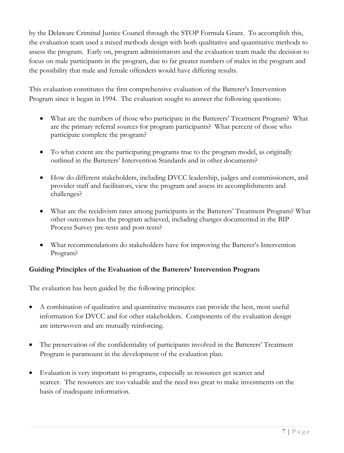by the Delaware Criminal Justice Council through the STOP Formula Grant. To accomplish this, the evaluation team used a mixed methods design with both qualitative and quantitative methods to assess the program. Early on, program administrators and the evaluation team made the decision to focus on male participants in the program, due to far greater numbers of males in the program and the possibility that male and female offenders would have differing results.

This evaluation constitutes the first comprehensive evaluation of the Batterer's Intervention Program since it began in 1994. The evaluation sought to answer the following questions:

- What are the numbers of those who participate in the Batterers' Treatment Program? What are the primary referral sources for program participants? What percent of those who participate complete the program?
- To what extent are the participating programs true to the program model, as originally outlined in the Batterers' Intervention Standards and in other documents?
- How do different stakeholders, including DVCC leadership, judges and commissioners, and provider staff and facilitators, view the program and assess its accomplishments and challenges?
- What are the recidivism rates among participants in the Batterers' Treatment Program? What other outcomes has the program achieved, including changes documented in the BIP Process Survey pre-tests and post-tests?
- What recommendations do stakeholders have for improving the Batterer's Intervention Program?

## **Guiding Principles of the Evaluation of the Batterers' Intervention Program**

The evaluation has been guided by the following principles:

- A combination of qualitative and quantitative measures can provide the best, most useful information for DVCC and for other stakeholders. Components of the evaluation design are interwoven and are mutually reinforcing.
- The preservation of the confidentiality of participants involved in the Batterers' Treatment Program is paramount in the development of the evaluation plan.
- Evaluation is very important to programs, especially as resources get scarcer and scarcer. The resources are too valuable and the need too great to make investments on the basis of inadequate information.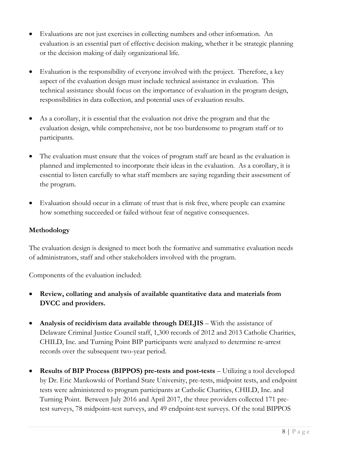- Evaluations are not just exercises in collecting numbers and other information. An evaluation is an essential part of effective decision making, whether it be strategic planning or the decision making of daily organizational life.
- Evaluation is the responsibility of everyone involved with the project. Therefore, a key aspect of the evaluation design must include technical assistance in evaluation. This technical assistance should focus on the importance of evaluation in the program design, responsibilities in data collection, and potential uses of evaluation results.
- As a corollary, it is essential that the evaluation not drive the program and that the evaluation design, while comprehensive, not be too burdensome to program staff or to participants.
- The evaluation must ensure that the voices of program staff are heard as the evaluation is planned and implemented to incorporate their ideas in the evaluation. As a corollary, it is essential to listen carefully to what staff members are saying regarding their assessment of the program.
- Evaluation should occur in a climate of trust that is risk free, where people can examine how something succeeded or failed without fear of negative consequences.

## **Methodology**

The evaluation design is designed to meet both the formative and summative evaluation needs of administrators, staff and other stakeholders involved with the program.

Components of the evaluation included:

- **Review, collating and analysis of available quantitative data and materials from DVCC and providers.**
- **Analysis of recidivism data available through DELJIS** With the assistance of Delaware Criminal Justice Council staff, 1,300 records of 2012 and 2013 Catholic Charities, CHILD, Inc. and Turning Point BIP participants were analyzed to determine re-arrest records over the subsequent two-year period.
- **Results of BIP Process (BIPPOS) pre-tests and post-tests** Utilizing a tool developed by Dr. Eric Mankowski of Portland State University, pre-tests, midpoint tests, and endpoint tests were administered to program participants at Catholic Charities, CHILD, Inc. and Turning Point. Between July 2016 and April 2017, the three providers collected 171 pretest surveys, 78 midpoint-test surveys, and 49 endpoint-test surveys. Of the total BIPPOS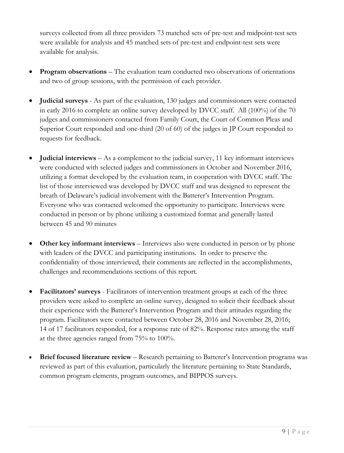surveys collected from all three providers 73 matched sets of pre-test and midpoint-test sets were available for analysis and 45 matched sets of pre-test and endpoint-test sets were available for analysis.

- **Program observations** The evaluation team conducted two observations of orientations and two of group sessions, with the permission of each provider.
- **Judicial surveys** As part of the evaluation, 130 judges and commissioners were contacted in early 2016 to complete an online survey developed by DVCC staff. All (100%) of the 70 judges and commissioners contacted from Family Court, the Court of Common Pleas and Superior Court responded and one-third (20 of 60) of the judges in JP Court responded to requests for feedback.
- **Judicial interviews** As a complement to the judicial survey, 11 key informant interviews were conducted with selected judges and commissioners in October and November 2016, utilizing a format developed by the evaluation team, in cooperation with DVCC staff. The list of those interviewed was developed by DVCC staff and was designed to represent the breath of Delaware's judicial involvement with the Batterer's Intervention Program. Everyone who was contacted welcomed the opportunity to participate. Interviews were conducted in person or by phone utilizing a customized format and generally lasted between 45 and 90 minutes
- **Other key informant interviews** Interviews also were conducted in person or by phone with leaders of the DVCC and participating institutions. In order to preserve the confidentiality of those interviewed, their comments are reflected in the accomplishments, challenges and recommendations sections of this report.
- **Facilitators' surveys** Facilitators of intervention treatment groups at each of the three providers were asked to complete an online survey, designed to solicit their feedback about their experience with the Batterer's Intervention Program and their attitudes regarding the program. Facilitators were contacted between October 28, 2016 and November 28, 2016; 14 of 17 facilitators responded, for a response rate of 82%. Response rates among the staff at the three agencies ranged from 75% to 100%.
- **Brief focused literature review** Research pertaining to Batterer's Intervention programs was reviewed as part of this evaluation, particularly the literature pertaining to State Standards, common program elements, program outcomes, and BIPPOS surveys.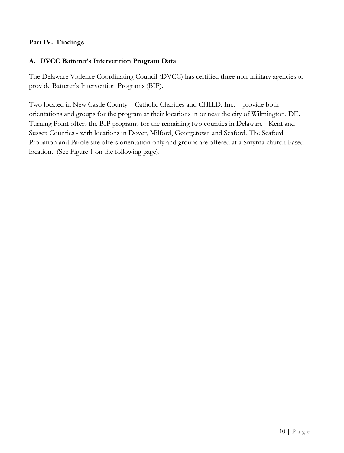## **Part IV. Findings**

## **A. DVCC Batterer's Intervention Program Data**

The Delaware Violence Coordinating Council (DVCC) has certified three non-military agencies to provide Batterer's Intervention Programs (BIP).

Two located in New Castle County – Catholic Charities and CHILD, Inc. – provide both orientations and groups for the program at their locations in or near the city of Wilmington, DE. Turning Point offers the BIP programs for the remaining two counties in Delaware - Kent and Sussex Counties - with locations in Dover, Milford, Georgetown and Seaford. The Seaford Probation and Parole site offers orientation only and groups are offered at a Smyrna church-based location. (See Figure 1 on the following page).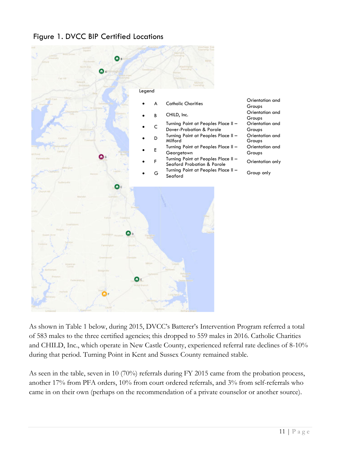



As shown in Table 1 below, during 2015, DVCC's Batterer's Intervention Program referred a total of 583 males to the three certified agencies; this dropped to 559 males in 2016. Catholic Charities and CHILD, Inc., which operate in New Castle County, experienced referral rate declines of 8-10% during that period. Turning Point in Kent and Sussex County remained stable.

As seen in the table, seven in 10 (70%) referrals during FY 2015 came from the probation process, another 17% from PFA orders, 10% from court ordered referrals, and 3% from self-referrals who came in on their own (perhaps on the recommendation of a private counselor or another source).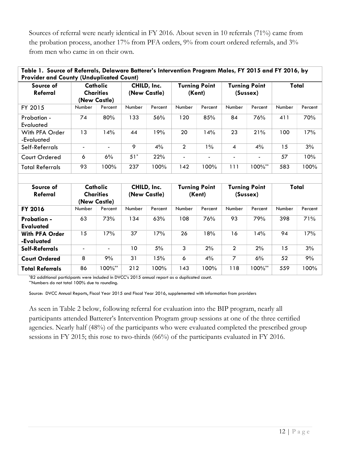Sources of referral were nearly identical in FY 2016. About seven in 10 referrals (71%) came from the probation process, another 17% from PFA orders, 9% from court ordered referrals, and 3% from men who came in on their own.

| Source of<br>Referral        | Table 1. Source of Referrals, Delaware Batterer's Intervention Program Males, FY 2015 and FY 2016, by<br><b>Provider and County (Unduplicated Count)</b><br>Catholic<br><b>Charities</b><br>(New Castle) |                | CHILD, Inc.<br>(New Castle) |         | <b>Turning Point</b><br>(Kent) |                | <b>Turning Point</b><br>(Sussex) |                | Total  |         |
|------------------------------|----------------------------------------------------------------------------------------------------------------------------------------------------------------------------------------------------------|----------------|-----------------------------|---------|--------------------------------|----------------|----------------------------------|----------------|--------|---------|
| FY 2015                      | Number                                                                                                                                                                                                   | Percent        | Number                      | Percent | Number                         | Percent        | Number                           | Percent        | Number | Percent |
| Probation -<br>Evaluated     | 74                                                                                                                                                                                                       | 80%            | 133                         | 56%     | 120                            | 85%            | 84                               | 76%            | 411    | 70%     |
| With PFA Order<br>-Evaluated | 13                                                                                                                                                                                                       | 14%            | 44                          | 19%     | 20                             | 14%            | 23                               | 21%            | 100    | 17%     |
| Self-Referrals               |                                                                                                                                                                                                          | $\blacksquare$ | 9                           | 4%      | $\mathcal{P}$                  | 1%             | 4                                | $4\%$          | 15     | 3%      |
| Court Ordered                | 6                                                                                                                                                                                                        | 6%             | $51*$                       | 22%     |                                | $\blacksquare$ | $\blacksquare$                   | $\blacksquare$ | 57     | 10%     |
| <b>Total Referrals</b>       | 93                                                                                                                                                                                                       | 100%           | 237                         | 100%    | 142                            | 100%           | 111                              | $100\%^{**}$   | 583    | 100%    |

| Source of<br>Referral                  | Catholic<br><b>Charities</b><br>(New Castle) |                          | CHILD, Inc.<br>(New Castle) |         | <b>Turning Point</b><br>(Kent) |         | <b>Turning Point</b><br>(Sussex) |              | Total  |         |  |  |
|----------------------------------------|----------------------------------------------|--------------------------|-----------------------------|---------|--------------------------------|---------|----------------------------------|--------------|--------|---------|--|--|
| <b>FY 2016</b>                         | Number                                       | Percent                  | Number                      | Percent | Number                         | Percent | Number                           | Percent      | Number | Percent |  |  |
| <b>Probation -</b><br><b>Evaluated</b> | 63                                           | 73%                      | 134                         | 63%     | 108                            | 76%     | 93                               | 79%          | 398    | 71%     |  |  |
| <b>With PFA Order</b><br>-Evaluated    | 15                                           | 17%                      | 37                          | 17%     | 26                             | 18%     | 16                               | 14%          | 94     | 17%     |  |  |
| Self-Referrals                         |                                              | $\overline{\phantom{0}}$ | 10                          | 5%      | 3                              | 2%      | $\mathcal{P}$                    | 2%           | 15     | 3%      |  |  |
| <b>Court Ordered</b>                   | 8                                            | 9%                       | 31                          | 15%     | 6                              | 4%      | 7                                | 6%           | 52     | 9%      |  |  |
| <b>Total Referrals</b>                 | 86                                           | $00\%^{**}$              | 212                         | 100%    | 143                            | 100%    | 118                              | $100\%^{**}$ | 559    | 100%    |  |  |

\*82 additional participants were included in DVCC's 2015 annual report as a duplicated count. \*\*Numbers do not total 100% due to rounding.

Source: DVCC Annual Reports, Fiscal Year 2015 and Fiscal Year 2016, supplemented with information from providers

As seen in Table 2 below, following referral for evaluation into the BIP program, nearly all participants attended Batterer's Intervention Program group sessions at one of the three certified agencies. Nearly half (48%) of the participants who were evaluated completed the prescribed group sessions in FY 2015; this rose to two-thirds (66%) of the participants evaluated in FY 2016.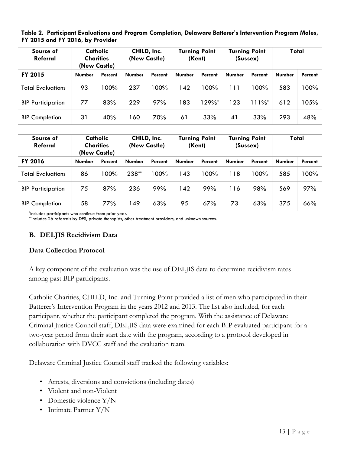**Table 2. Participant Evaluations and Program Completion, Delaware Batterer's Intervention Program Males, FY 2015 and FY 2016, by Provider**

| Catholic<br>Source of<br>Referral<br><b>Charities</b><br>(New Castle) |               | CHILD, Inc.<br>(New Castle) |               | <b>Turning Point</b><br>(Kent) |               | <b>Turning Point</b><br>(Sussex) |               | Total                |               |         |
|-----------------------------------------------------------------------|---------------|-----------------------------|---------------|--------------------------------|---------------|----------------------------------|---------------|----------------------|---------------|---------|
| FY 2015                                                               | <b>Number</b> | Percent                     | <b>Number</b> | Percent                        | <b>Number</b> | Percent                          | <b>Number</b> | Percent              | <b>Number</b> | Percent |
| <b>Total Evaluations</b>                                              | 93            | 100%                        | 237           | $100\%$                        | 142           | 100%                             | 111           | 00% ا                | 583           | 100%    |
| <b>BIP Participation</b>                                              | 77            | 83%                         | 229           | 97%                            | 183           | 1 29%*                           | 123           | $111\%$ <sup>*</sup> | 612           | 105%    |
| <b>BIP Completion</b>                                                 | 31            | 40%                         | 160           | 70%                            | 61            | 33%                              | 41            | 33%                  | 293           | 48%     |

| Source of<br>Referral    | Catholic<br><b>Charities</b><br>(New Castle) |         | CHILD, Inc.<br>(New Castle) |         | <b>Turning Point</b><br>(Kent) |         | <b>Turning Point</b><br>(Sussex) |         | Total         |         |
|--------------------------|----------------------------------------------|---------|-----------------------------|---------|--------------------------------|---------|----------------------------------|---------|---------------|---------|
| FY 2016                  | <b>Number</b>                                | Percent | <b>Number</b>               | Percent | <b>Number</b>                  | Percent | <b>Number</b>                    | Percent | <b>Number</b> | Percent |
| <b>Total Evaluations</b> | 86                                           | 100%    | 238**                       | 100%    | 143                            | 100%    | 118                              | 00% ا   | 585           | 100%    |
| <b>BIP Participation</b> | 75                                           | 87%     | 236                         | 99%     | 142                            | 99%     | 116                              | 98%     | 569           | 97%     |
| <b>BIP Completion</b>    | 58                                           | 77%     | 149                         | 63%     | 95                             | 67%     | 73                               | 63%     | 375           | 66%     |

\* Includes participants who continue from prior year.

\*\*lncludes 26 referrals by DFS, private therapists, other treatment providers, and unknown sources.

#### **B. DELJIS Recidivism Data**

#### **Data Collection Protocol**

A key component of the evaluation was the use of DELJIS data to determine recidivism rates among past BIP participants.

Catholic Charities, CHILD, Inc. and Turning Point provided a list of men who participated in their Batterer's Intervention Program in the years 2012 and 2013. The list also included, for each participant, whether the participant completed the program. With the assistance of Delaware Criminal Justice Council staff, DELJIS data were examined for each BIP evaluated participant for a two-year period from their start date with the program, according to a protocol developed in collaboration with DVCC staff and the evaluation team.

Delaware Criminal Justice Council staff tracked the following variables:

- Arrests, diversions and convictions (including dates)
- Violent and non-Violent
- Domestic violence Y/N
- Intimate Partner Y/N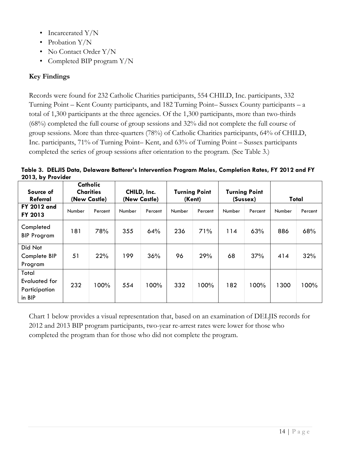- Incarcerated Y/N
- Probation Y/N
- No Contact Order Y/N
- Completed BIP program Y/N

# **Key Findings**

Records were found for 232 Catholic Charities participants, 554 CHILD, Inc. participants, 332 Turning Point – Kent County participants, and 182 Turning Point– Sussex County participants – a total of 1,300 participants at the three agencies. Of the 1,300 participants, more than two-thirds (68%) completed the full course of group sessions and 32% did not complete the full course of group sessions. More than three-quarters (78%) of Catholic Charities participants, 64% of CHILD, Inc. participants, 71% of Turning Point– Kent, and 63% of Turning Point – Sussex participants completed the series of group sessions after orientation to the program. (See Table 3.)

**Table 3. DELJIS Data, Delaware Batterer's Intervention Program Males, Completion Rates, FY 2012 and FY 2013, by Provider**

| Source of<br>Referral                             | Catholic<br><b>Charities</b><br>(New Castle) |         | CHILD, Inc.<br>(New Castle) |         | <b>Turning Point</b><br>(Kent) |         | <b>Turning Point</b><br>(Sussex) |         | Total  |         |
|---------------------------------------------------|----------------------------------------------|---------|-----------------------------|---------|--------------------------------|---------|----------------------------------|---------|--------|---------|
| <b>FY 2012 and</b><br>FY 2013                     | Number                                       | Percent | Number                      | Percent | Number                         | Percent | Number                           | Percent | Number | Percent |
| Completed<br><b>BIP Program</b>                   | 181                                          | 78%     | 355                         | 64%     | 236                            | 71%     | 114                              | 63%     | 886    | 68%     |
| Did Not<br>Complete BIP<br>Program                | 51                                           | 22%     | 199                         | 36%     | 96                             | 29%     | 68                               | 37%     | 414    | 32%     |
| Total<br>Evaluated for<br>Participation<br>in BIP | 232                                          | 100%    | 554                         | $100\%$ | 332                            | 100%    | 182                              | 100%    | 1300   | 100%    |

Chart 1 below provides a visual representation that, based on an examination of DELJIS records for 2012 and 2013 BIP program participants, two-year re-arrest rates were lower for those who completed the program than for those who did not complete the program.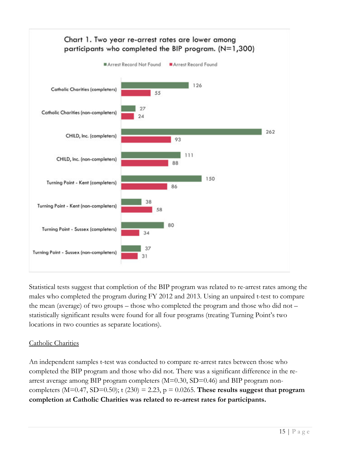

Statistical tests suggest that completion of the BIP program was related to re-arrest rates among the males who completed the program during FY 2012 and 2013. Using an unpaired t-test to compare the mean (average) of two groups – those who completed the program and those who did not – statistically significant results were found for all four programs (treating Turning Point's two locations in two counties as separate locations).

## Catholic Charities

An independent samples t-test was conducted to compare re-arrest rates between those who completed the BIP program and those who did not. There was a significant difference in the rearrest average among BIP program completers (M=0.30, SD=0.46) and BIP program noncompleters  $(M=0.47, SD=0.50)$ ; t  $(230) = 2.23$ ,  $p = 0.0265$ . These results suggest that program **completion at Catholic Charities was related to re-arrest rates for participants.**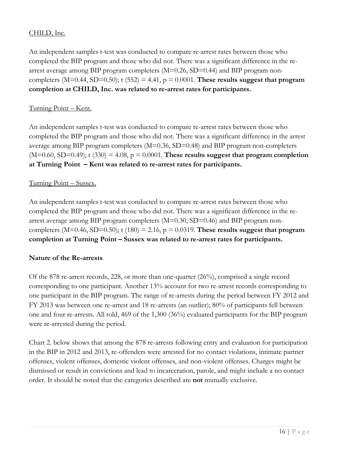## CHILD, Inc.

An independent samples t-test was conducted to compare re-arrest rates between those who completed the BIP program and those who did not. There was a significant difference in the rearrest average among BIP program completers  $(M=0.26, SD=0.44)$  and BIP program noncompleters  $(M=0.44, SD=0.50)$ ; t  $(552) = 4.41$ ,  $p = 0.0001$ . These results suggest that program **completion at CHILD, Inc. was related to re-arrest rates for participants.**

#### Turning Point – Kent.

An independent samples t-test was conducted to compare re-arrest rates between those who completed the BIP program and those who did not. There was a significant difference in the arrest average among BIP program completers (M=0.36, SD=0.48) and BIP program non-completers  $(M=0.60, SD=0.49)$ ; t  $(330) = 4.08$ ,  $p = 0.0001$ . These results suggest that program completion **at Turning Point – Kent was related to re-arrest rates for participants.**

## Turning Point – Sussex.

An independent samples t-test was conducted to compare re-arrest rates between those who completed the BIP program and those who did not. There was a significant difference in the rearrest average among BIP program completers  $(M=0.30, SD=0.46)$  and BIP program noncompleters  $(M=0.46, SD=0.50)$ ; t  $(180) = 2.16$ ,  $p = 0.0319$ . These results suggest that program **completion at Turning Point – Sussex was related to re-arrest rates for participants.**

#### **Nature of the Re-arrests**

Of the 878 re-arrest records, 228, or more than one-quarter (26%), comprised a single record corresponding to one participant. Another 13% account for two re-arrest records corresponding to one participant in the BIP program. The range of re-arrests during the period between FY 2012 and FY 2013 was between one re-arrest and 18 re-arrests (an outlier); 80% of participants fell between one and four re-arrests. All told, 469 of the 1,300 (36%) evaluated participants for the BIP program were re-arrested during the period.

Chart 2. below shows that among the 878 re-arrests following entry and evaluation for participation in the BIP in 2012 and 2013, re-offenders were arrested for no contact violations, intimate partner offenses, violent offenses, domestic violent offenses, and non-violent offenses. Charges might be dismissed or result in convictions and lead to incarceration, parole, and might include a no contact order. It should be noted that the categories described are **not** mutually exclusive.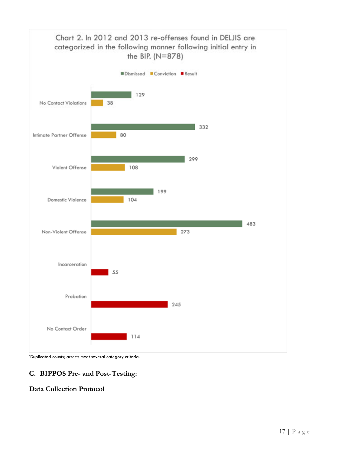

\*Duplicated counts; arrests meet several category criteria.

## **C. BIPPOS Pre- and Post-Testing:**

## **Data Collection Protocol**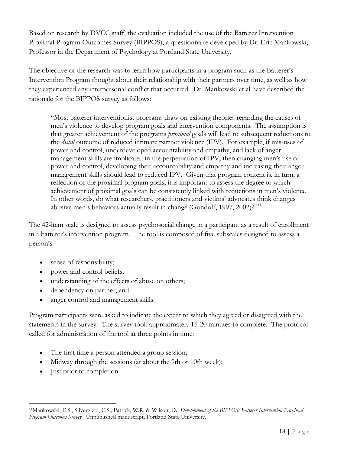Based on research by DVCC staff, the evaluation included the use of the Batterer Intervention Proximal Program Outcomes Survey (BIPPOS), a questionnaire developed by Dr. Eric Mankowski, Professor in the Department of Psychology at Portland State University.

The objective of the research was to learn how participants in a program such as the Batterer's Intervention Program thought about their relationship with their partners over time, as well as how they experienced any interpersonal conflict that occurred. Dr. Mankowski et al have described the rationale for the BIPPOS survey as follows:

"Most batterer interventionist programs draw on existing theories regarding the causes of men's violence to develop program goals and intervention components. The assumption is that greater achievement of the programs *proximal* goals will lead to subsequent reductions to the *distal* outcome of reduced intimate partner violence (IPV). For example, if mis-uses of power and control, underdeveloped accountability and empathy, and lack of anger management skills are implicated in the perpetuation of IPV, then changing men's use of power and control, developing their accountability and empathy and increasing their anger management skills should lead to reduced IPV. Given that program content is, in turn, a reflection of the proximal program goals, it is important to assess the degree to which achievement of proximal goals can be consistently linked with reductions in men's violence In other words, do what researchers, practitioners and victims' advocates think changes abusive men's behaviors actually result in change (Gondolf, 1997, 2002)?"<sup>11</sup>

The 42-item scale is designed to assess psychosocial change in a participant as a result of enrollment in a batterer's intervention program. The tool is composed of five subscales designed to assess a person's:

- sense of responsibility;
- power and control beliefs;
- understanding of the effects of abuse on others;
- dependency on partner; and
- anger control and management skills.

Program participants were asked to indicate the extent to which they agreed or disagreed with the statements in the survey. The survey took approximately 15-20 minutes to complete. The protocol called for administration of the tool at three points in time:

- The first time a person attended a group session;
- Midway through the sessions (at about the 9th or 10th week);
- Just prior to completion.

<sup>11</sup>Mankowski, E.S., Silvergleid, C.S., Patrick, W.R. & Wilson, D. *Development of the BIPPOS: Batterer Intervention Proximal Program Outcomes Survey.* Unpublished manuscript, Portland State University.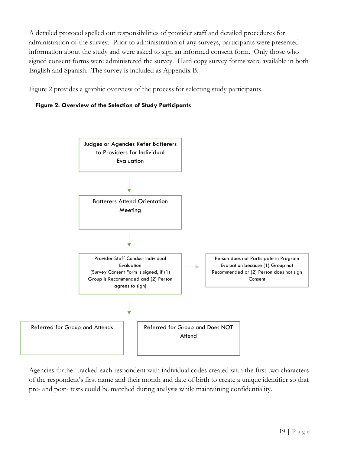A detailed protocol spelled out responsibilities of provider staff and detailed procedures for administration of the survey. Prior to administration of any surveys, participants were presented information about the study and were asked to sign an informed consent form. Only those who signed consent forms were administered the survey. Hard copy survey forms were available in both English and Spanish. The survey is included as Appendix B.

Figure 2 provides a graphic overview of the process for selecting study participants.





Agencies further tracked each respondent with individual codes created with the first two characters of the respondent's first name and their month and date of birth to create a unique identifier so that pre- and post- tests could be matched during analysis while maintaining confidentiality.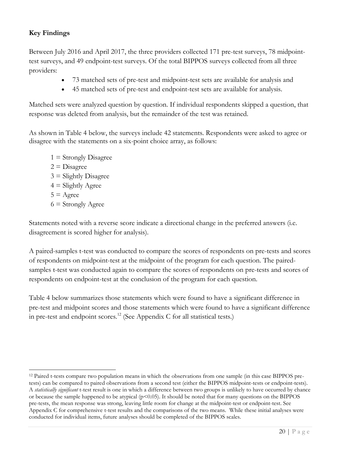# **Key Findings**

Between July 2016 and April 2017, the three providers collected 171 pre-test surveys, 78 midpointtest surveys, and 49 endpoint-test surveys. Of the total BIPPOS surveys collected from all three providers:

- 73 matched sets of pre-test and midpoint-test sets are available for analysis and
- 45 matched sets of pre-test and endpoint-test sets are available for analysis.

Matched sets were analyzed question by question. If individual respondents skipped a question, that response was deleted from analysis, but the remainder of the test was retained.

As shown in Table 4 below, the surveys include 42 statements. Respondents were asked to agree or disagree with the statements on a six-point choice array, as follows:

 $1 =$  Strongly Disagree  $2 =$ Disagree  $3 =$  Slightly Disagree  $4 =$  Slightly Agree  $5 = \text{Agree}$  $6 =$  Strongly Agree

Statements noted with a reverse score indicate a directional change in the preferred answers (i.e. disagreement is scored higher for analysis).

A paired-samples t-test was conducted to compare the scores of respondents on pre-tests and scores of respondents on midpoint-test at the midpoint of the program for each question. The pairedsamples t-test was conducted again to compare the scores of respondents on pre-tests and scores of respondents on endpoint-test at the conclusion of the program for each question.

Table 4 below summarizes those statements which were found to have a significant difference in pre-test and midpoint scores and those statements which were found to have a significant difference in pre-test and endpoint scores.<sup>12</sup> (See Appendix C for all statistical tests.)

<sup>12</sup> Paired t-tests compare two population means in which the observations from one sample (in this case BIPPOS pretests) can be compared to paired observations from a second test (either the BIPPOS midpoint-tests or endpoint-tests). A *statistically significant* t-test result is one in which a difference between two groups is unlikely to have occurred by chance or because the sample happened to be atypical (p<0.05). It should be noted that for many questions on the BIPPOS pre-tests, the mean response was strong, leaving little room for change at the midpoint-test or endpoint-test. See Appendix C for comprehensive t-test results and the comparisons of the two means. While these initial analyses were conducted for individual items, future analyses should be completed of the BIPPOS scales.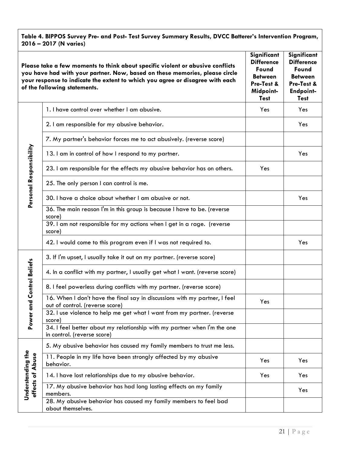**Table 4. BIPPOS Survey Pre- and Post- Test Survey Summary Results, DVCC Batterer's Intervention Program, 2016 – 2017 (N varies)**

|                                       | Please take a few moments to think about specific violent or abusive conflicts<br>you have had with your partner. Now, based on these memories, please circle<br>your response to indicate the extent to which you agree or disagree with each<br>of the following statements. | Significant<br><b>Difference</b><br>Found<br><b>Between</b><br>Pre-Test &<br>Midpoint-<br><b>Test</b> | Significant<br><b>Difference</b><br>Found<br><b>Between</b><br>Pre-Test &<br><b>Endpoint-</b><br><b>Test</b> |
|---------------------------------------|--------------------------------------------------------------------------------------------------------------------------------------------------------------------------------------------------------------------------------------------------------------------------------|-------------------------------------------------------------------------------------------------------|--------------------------------------------------------------------------------------------------------------|
|                                       | 1. I have control over whether I am abusive.                                                                                                                                                                                                                                   | Yes                                                                                                   | Yes.                                                                                                         |
|                                       | 2. I am responsible for my abusive behavior.                                                                                                                                                                                                                                   |                                                                                                       | Yes                                                                                                          |
|                                       | 7. My partner's behavior forces me to act abusively. (reverse score)                                                                                                                                                                                                           |                                                                                                       |                                                                                                              |
|                                       | 13. I am in control of how I respond to my partner.                                                                                                                                                                                                                            |                                                                                                       | Yes                                                                                                          |
|                                       | 23. I am responsible for the effects my abusive behavior has on others.                                                                                                                                                                                                        | Yes                                                                                                   |                                                                                                              |
|                                       | 25. The only person I can control is me.                                                                                                                                                                                                                                       |                                                                                                       |                                                                                                              |
| Personal Responsibility               | 30. I have a choice about whether I am abusive or not.                                                                                                                                                                                                                         |                                                                                                       | Yes                                                                                                          |
|                                       | 36. The main reason I'm in this group is because I have to be. (reverse<br>score)                                                                                                                                                                                              |                                                                                                       |                                                                                                              |
|                                       | 39. I am not responsible for my actions when I get in a rage. (reverse<br>score)                                                                                                                                                                                               |                                                                                                       |                                                                                                              |
|                                       | 42. I would come to this program even if I was not required to.                                                                                                                                                                                                                |                                                                                                       | Yes                                                                                                          |
|                                       | 3. If I'm upset, I usually take it out on my partner. (reverse score)                                                                                                                                                                                                          |                                                                                                       |                                                                                                              |
| wer and Control Beliefs               | 4. In a conflict with my partner, I usually get what I want. (reverse score)                                                                                                                                                                                                   |                                                                                                       |                                                                                                              |
|                                       | 8. I feel powerless during conflicts with my partner. (reverse score)                                                                                                                                                                                                          |                                                                                                       |                                                                                                              |
|                                       | 16. When I don't have the final say in discussions with my partner, I feel<br>out of control. (reverse score)                                                                                                                                                                  | Yes                                                                                                   |                                                                                                              |
|                                       | 32. I use violence to help me get what I want from my partner. (reverse<br>score)                                                                                                                                                                                              |                                                                                                       |                                                                                                              |
| ەً                                    | 34. I feel better about my relationship with my partner when I'm the one<br>in control. (reverse score)                                                                                                                                                                        |                                                                                                       |                                                                                                              |
|                                       | 5. My abusive behavior has caused my family members to trust me less.                                                                                                                                                                                                          |                                                                                                       |                                                                                                              |
|                                       | 11. People in my life have been strongly affected by my abusive<br>behavior.                                                                                                                                                                                                   | Yes                                                                                                   | Yes                                                                                                          |
| Understanding the<br>effects of Abuse | 14. I have lost relationships due to my abusive behavior.                                                                                                                                                                                                                      | Yes                                                                                                   | Yes                                                                                                          |
|                                       | 17. My abusive behavior has had long lasting effects on my family<br>members.                                                                                                                                                                                                  |                                                                                                       | Yes                                                                                                          |
|                                       | 28. My abusive behavior has caused my family members to feel bad<br>about themselves.                                                                                                                                                                                          |                                                                                                       |                                                                                                              |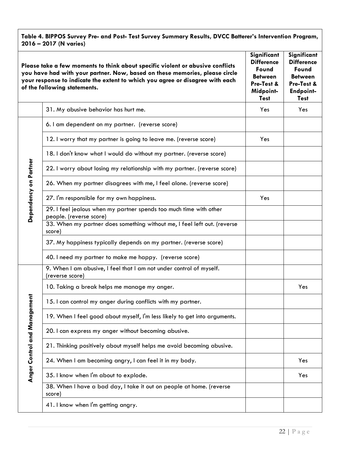**Table 4. BIPPOS Survey Pre- and Post- Test Survey Summary Results, DVCC Batterer's Intervention Program, 2016 – 2017 (N varies)**

|                       | Please take a few moments to think about specific violent or abusive conflicts<br>you have had with your partner. Now, based on these memories, please circle<br>your response to indicate the extent to which you agree or disagree with each<br>of the following statements. | Significant<br><b>Difference</b><br>Found<br><b>Between</b><br>Pre-Test &<br>Midpoint-<br><b>Test</b> | Significant<br><b>Difference</b><br>Found<br><b>Between</b><br>Pre-Test &<br><b>Endpoint-</b><br><b>Test</b> |
|-----------------------|--------------------------------------------------------------------------------------------------------------------------------------------------------------------------------------------------------------------------------------------------------------------------------|-------------------------------------------------------------------------------------------------------|--------------------------------------------------------------------------------------------------------------|
|                       | 31. My abusive behavior has hurt me.                                                                                                                                                                                                                                           | Yes                                                                                                   | Yes                                                                                                          |
|                       | 6. I am dependent on my partner. (reverse score)                                                                                                                                                                                                                               |                                                                                                       |                                                                                                              |
|                       | 12. I worry that my partner is going to leave me. (reverse score)                                                                                                                                                                                                              | Yes                                                                                                   |                                                                                                              |
|                       | 18. I don't know what I would do without my partner. (reverse score)                                                                                                                                                                                                           |                                                                                                       |                                                                                                              |
|                       | 22. I worry about losing my relationship with my partner. (reverse score)                                                                                                                                                                                                      |                                                                                                       |                                                                                                              |
|                       | 26. When my partner disagrees with me, I feel alone. (reverse score)                                                                                                                                                                                                           |                                                                                                       |                                                                                                              |
| Dependency on Partner | 27. I'm responsible for my own happiness.                                                                                                                                                                                                                                      | Yes                                                                                                   |                                                                                                              |
|                       | 29. I feel jealous when my partner spends too much time with other<br>people. (reverse score)                                                                                                                                                                                  |                                                                                                       |                                                                                                              |
|                       | 33. When my partner does something without me, I feel left out. (reverse<br>score)                                                                                                                                                                                             |                                                                                                       |                                                                                                              |
|                       | 37. My happiness typically depends on my partner. (reverse score)                                                                                                                                                                                                              |                                                                                                       |                                                                                                              |
|                       | 40. I need my partner to make me happy. (reverse score)                                                                                                                                                                                                                        |                                                                                                       |                                                                                                              |
|                       | 9. When I am abusive, I feel that I am not under control of myself.<br>(reverse score)                                                                                                                                                                                         |                                                                                                       |                                                                                                              |
|                       | 10. Taking a break helps me manage my anger.                                                                                                                                                                                                                                   |                                                                                                       | Yes                                                                                                          |
| nagement              | 15. I can control my anger during conflicts with my partner.                                                                                                                                                                                                                   |                                                                                                       |                                                                                                              |
|                       | 19. When I feel good about myself, I'm less likely to get into arguments.                                                                                                                                                                                                      |                                                                                                       |                                                                                                              |
|                       | 20. I can express my anger without becoming abusive.                                                                                                                                                                                                                           |                                                                                                       |                                                                                                              |
|                       | 21. Thinking positively about myself helps me avoid becoming abusive.                                                                                                                                                                                                          |                                                                                                       |                                                                                                              |
| Anger Control and Ma  | 24. When I am becoming angry, I can feel it in my body.                                                                                                                                                                                                                        |                                                                                                       | Yes                                                                                                          |
|                       | 35. I know when I'm about to explode.                                                                                                                                                                                                                                          |                                                                                                       | Yes                                                                                                          |
|                       | 38. When I have a bad day, I take it out on people at home. (reverse<br>score)                                                                                                                                                                                                 |                                                                                                       |                                                                                                              |
|                       | 41. I know when I'm getting angry.                                                                                                                                                                                                                                             |                                                                                                       |                                                                                                              |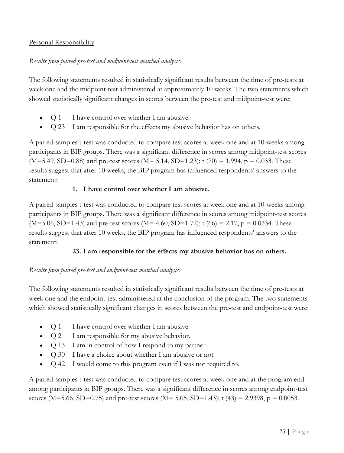## Personal Responsibility

## *Results from paired pre-test and midpoint-test matched analysis:*

The following statements resulted in statistically significant results between the time of pre-tests at week one and the midpoint-test administered at approximately 10 weeks. The two statements which showed statistically significant changes in scores between the pre-test and midpoint-test were:

- Q 1 I have control over whether I am abusive.
- Q 23 I am responsible for the effects my abusive behavior has on others.

A paired-samples t-test was conducted to compare test scores at week one and at 10-weeks among participants in BIP groups. There was a significant difference in scores among midpoint-test scores  $(M=5.49, SD=0.88)$  and pre-test scores  $(M=5.14, SD=1.23)$ ; t  $(70) = 1.994$ , p = 0.033. These results suggest that after 10 weeks, the BIP program has influenced respondents' answers to the statement:

## **1. I have control over whether I am abusive.**

A paired-samples t-test was conducted to compare test scores at week one and at 10-weeks among participants in BIP groups. There was a significant difference in scores among midpoint-test scores  $(M=5.06, SD=1.43)$  and pre-test scores  $(M=4.60, SD=1.72)$ ; t  $(66) = 2.17$ , p = 0.0334. These results suggest that after 10 weeks, the BIP program has influenced respondents' answers to the statement:

## **23. I am responsible for the effects my abusive behavior has on others.**

## *Results from paired pre-test and endpoint-test matched analysis:*

The following statements resulted in statistically significant results between the time of pre-tests at week one and the endpoint-test administered at the conclusion of the program. The two statements which showed statistically significant changes in scores between the pre-test and endpoint-test were:

- Q 1 I have control over whether I am abusive.
- Q 2 I am responsible for my abusive behavior.
- Q 13 I am in control of how I respond to my partner.
- Q 30 I have a choice about whether I am abusive or not
- Q 42 I would come to this program even if I was not required to.

A paired-samples t-test was conducted to compare test scores at week one and at the program end among participants in BIP groups. There was a significant difference in scores among endpoint-test scores (M=5.66, SD=0.75) and pre-test scores (M= 5.05, SD=1.43); t (43) = 2.9398, p = 0.0053.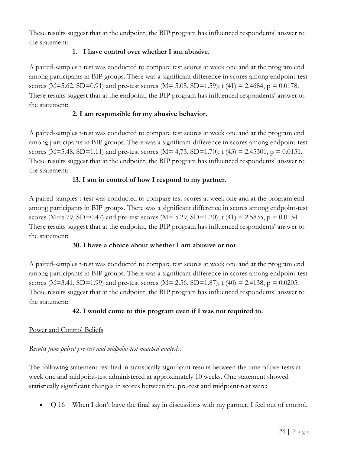These results suggest that at the endpoint, the BIP program has influenced respondents' answer to the statement:

# **1. I have control over whether I am abusive.**

A paired-samples t-test was conducted to compare test scores at week one and at the program end among participants in BIP groups. There was a significant difference in scores among endpoint-test scores (M=5.62, SD=0.91) and pre-test scores (M= 5.05, SD=1.59); t (41) = 2.4684, p = 0.0178. These results suggest that at the endpoint, the BIP program has influenced respondents' answer to the statement:

## **2. I am responsible for my abusive behavior.**

A paired-samples t-test was conducted to compare test scores at week one and at the program end among participants in BIP groups. There was a significant difference in scores among endpoint-test scores (M=5.48, SD=1.11) and pre-test scores (M= 4,73, SD=1.70); t (43) = 2.45301, p = 0.0151. These results suggest that at the endpoint, the BIP program has influenced respondents' answer to the statement:

## **13. I am in control of how I respond to my partner.**

A paired-samples t-test was conducted to compare test scores at week one and at the program end among participants in BIP groups. There was a significant difference in scores among endpoint-test scores (M=5.79, SD=0.47) and pre-test scores (M= 5.29, SD=1.20); t (41) = 2.5835, p = 0.0134. These results suggest that at the endpoint, the BIP program has influenced respondents' answer to the statement:

## **30. I have a choice about whether I am abusive or not**

A paired-samples t-test was conducted to compare test scores at week one and at the program end among participants in BIP groups. There was a significant difference in scores among endpoint-test scores (M=3.41, SD=1.99) and pre-test scores (M= 2.56, SD=1.87); t (40) = 2.4138, p = 0.0205. These results suggest that at the endpoint, the BIP program has influenced respondents' answer to the statement:

## **42. I would come to this program even if I was not required to.**

## Power and Control Beliefs

# *Results from paired pre-test and midpoint-test matched analysis:*

The following statement resulted in statistically significant results between the time of pre-tests at week one and midpoint-test administered at approximately 10 weeks. One statement showed statistically significant changes in scores between the pre-test and midpoint-test were:

• Q 16 When I don't have the final say in discussions with my partner, I feel out of control.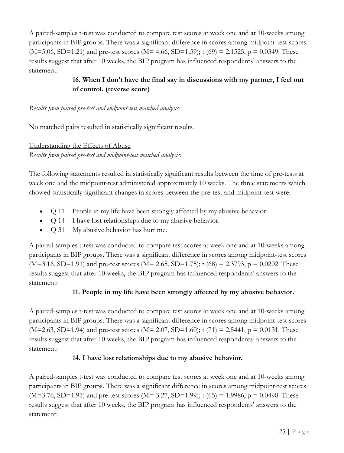A paired-samples t-test was conducted to compare test scores at week one and at 10-weeks among participants in BIP groups. There was a significant difference in scores among midpoint-test scores  $(M=5.06, SD=1.21)$  and pre-test scores  $(M=4.66, SD=1.59)$ ; t  $(69) = 2.1525$ , p = 0.0349. These results suggest that after 10 weeks, the BIP program has influenced respondents' answers to the statement:

# **16. When I don't have the final say in discussions with my partner, I feel out of control. (reverse score)**

#### *Results from paired pre-test and endpoint-test matched analysis:*

No matched pairs resulted in statistically significant results.

## Understanding the Effects of Abuse *Results from paired pre-test and midpoint-test matched analysis:*

The following statements resulted in statistically significant results between the time of pre-tests at week one and the midpoint-test administered approximately 10 weeks. The three statements which showed statistically significant changes in scores between the pre-test and midpoint-test were:

- Q 11 People in my life have been strongly affected by my abusive behavior.
- Q 14 I have lost relationships due to my abusive behavior.
- Q 31 My abusive behavior has hurt me.

A paired-samples t-test was conducted to compare test scores at week one and at 10-weeks among participants in BIP groups. There was a significant difference in scores among midpoint-test scores  $(M=3.16, SD=1.91)$  and pre-test scores  $(M=2.65, SD=1.75)$ ; t  $(68) = 2.3793$ , p = 0.0202. These results suggest that after 10 weeks, the BIP program has influenced respondents' answers to the statement:

## **11. People in my life have been strongly affected by my abusive behavior.**

A paired-samples t-test was conducted to compare test scores at week one and at 10-weeks among participants in BIP groups. There was a significant difference in scores among midpoint-test scores  $(M=2.63, SD=1.94)$  and pre-test scores  $(M=2.07, SD=1.60)$ ; t  $(71) = 2.5441, p = 0.0131$ . These results suggest that after 10 weeks, the BIP program has influenced respondents' answers to the statement:

## **14. I have lost relationships due to my abusive behavior.**

A paired-samples t-test was conducted to compare test scores at week one and at 10-weeks among participants in BIP groups. There was a significant difference in scores among midpoint-test scores  $(M=3.76, SD=1.91)$  and pre-test scores  $(M=3.27, SD=1.99)$ ; t  $(65) = 1.9986$ , p = 0.0498. These results suggest that after 10 weeks, the BIP program has influenced respondents' answers to the statement: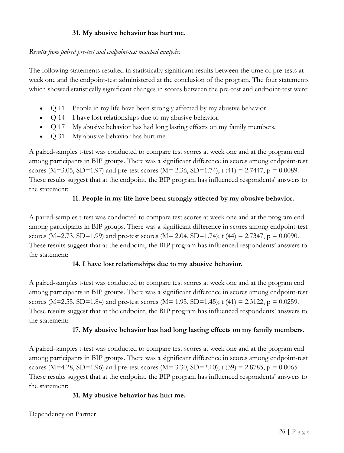## **31. My abusive behavior has hurt me.**

## *Results from paired pre-test and endpoint-test matched analysis:*

The following statements resulted in statistically significant results between the time of pre-tests at week one and the endpoint-test administered at the conclusion of the program. The four statements which showed statistically significant changes in scores between the pre-test and endpoint-test were:

- Q 11 People in my life have been strongly affected by my abusive behavior.
- Q 14 I have lost relationships due to my abusive behavior.
- Q 17 My abusive behavior has had long lasting effects on my family members.
- Q 31 My abusive behavior has hurt me.

A paired-samples t-test was conducted to compare test scores at week one and at the program end among participants in BIP groups. There was a significant difference in scores among endpoint-test scores (M=3.05, SD=1.97) and pre-test scores (M= 2.36, SD=1.74); t (41) = 2.7447, p = 0.0089. These results suggest that at the endpoint, the BIP program has influenced respondents' answers to the statement:

## **11. People in my life have been strongly affected by my abusive behavior.**

A paired-samples t-test was conducted to compare test scores at week one and at the program end among participants in BIP groups. There was a significant difference in scores among endpoint-test scores (M=2.73, SD=1.99) and pre-test scores (M= 2.04, SD=1.74); t (44) = 2.7347, p = 0.0090. These results suggest that at the endpoint, the BIP program has influenced respondents' answers to the statement:

#### **14. I have lost relationships due to my abusive behavior.**

A paired-samples t-test was conducted to compare test scores at week one and at the program end among participants in BIP groups. There was a significant difference in scores among endpoint-test scores (M=2.55, SD=1.84) and pre-test scores (M= 1.95, SD=1.45); t (41) = 2.3122, p = 0.0259. These results suggest that at the endpoint, the BIP program has influenced respondents' answers to the statement:

#### **17. My abusive behavior has had long lasting effects on my family members.**

A paired-samples t-test was conducted to compare test scores at week one and at the program end among participants in BIP groups. There was a significant difference in scores among endpoint-test scores (M=4.28, SD=1.96) and pre-test scores (M= 3.30, SD=2.10); t (39) = 2.8785, p = 0.0065. These results suggest that at the endpoint, the BIP program has influenced respondents' answers to the statement:

#### **31. My abusive behavior has hurt me.**

#### Dependency on Partner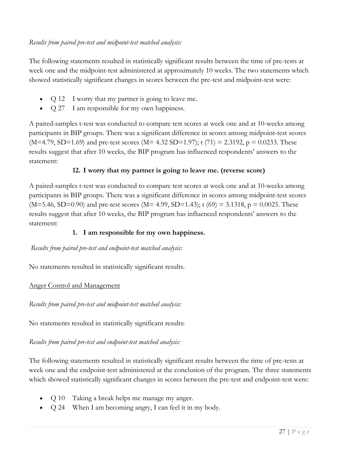The following statements resulted in statistically significant results between the time of pre-tests at week one and the midpoint-test administered at approximately 10 weeks. The two statements which showed statistically significant changes in scores between the pre-test and midpoint-test were:

- Q 12 I worry that my partner is going to leave me.
- Q 27 I am responsible for my own happiness.

A paired-samples t-test was conducted to compare test scores at week one and at 10-weeks among participants in BIP groups. There was a significant difference in scores among midpoint-test scores  $(M=4.79, SD=1.69)$  and pre-test scores  $(M=4.32 SD=1.97)$ ; t  $(71) = 2.3192$ ,  $p = 0.0233$ . These results suggest that after 10 weeks, the BIP program has influenced respondents' answers to the statement:

## **12. I worry that my partner is going to leave me. (reverse score)**

A paired-samples t-test was conducted to compare test scores at week one and at 10-weeks among participants in BIP groups. There was a significant difference in scores among midpoint-test scores  $(M=5.46, SD=0.90)$  and pre-test scores  $(M=4.99, SD=1.43)$ ; t  $(69) = 3.1318$ , p = 0.0025. These results suggest that after 10 weeks, the BIP program has influenced respondents' answers to the statement:

## **1. I am responsible for my own happiness.**

#### *Results from paired pre-test and endpoint-test matched analysis:*

No statements resulted in statistically significant results.

## Anger Control and Management

*Results from paired pre-test and midpoint-test matched analysis:*

No statements resulted in statistically significant results:

*Results from paired pre-test and endpoint-test matched analysis:*

The following statements resulted in statistically significant results between the time of pre-tests at week one and the endpoint-test administered at the conclusion of the program. The three statements which showed statistically significant changes in scores between the pre-test and endpoint-test were:

- Q 10 Taking a break helps me manage my anger.
- Q 24 When I am becoming angry, I can feel it in my body.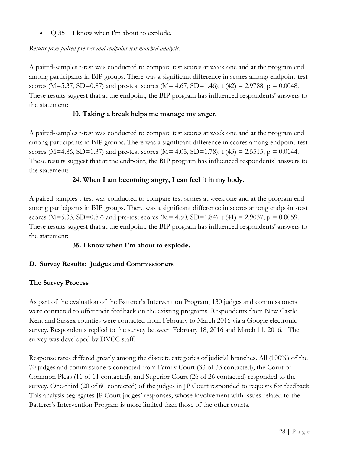• Q 35 I know when I'm about to explode.

## *Results from paired pre-test and endpoint-test matched analysis:*

A paired-samples t-test was conducted to compare test scores at week one and at the program end among participants in BIP groups. There was a significant difference in scores among endpoint-test scores (M=5.37, SD=0.87) and pre-test scores (M= 4.67, SD=1.46); t (42) = 2.9788, p = 0.0048. These results suggest that at the endpoint, the BIP program has influenced respondents' answers to the statement:

## **10. Taking a break helps me manage my anger.**

A paired-samples t-test was conducted to compare test scores at week one and at the program end among participants in BIP groups. There was a significant difference in scores among endpoint-test scores (M=4.86, SD=1.37) and pre-test scores (M= 4.05, SD=1.78); t (43) = 2.5515, p = 0.0144. These results suggest that at the endpoint, the BIP program has influenced respondents' answers to the statement:

## **24. When I am becoming angry, I can feel it in my body.**

A paired-samples t-test was conducted to compare test scores at week one and at the program end among participants in BIP groups. There was a significant difference in scores among endpoint-test scores (M=5.33, SD=0.87) and pre-test scores (M= 4.50, SD=1.84); t (41) = 2.9037, p = 0.0059. These results suggest that at the endpoint, the BIP program has influenced respondents' answers to the statement:

## **35. I know when I'm about to explode.**

## **D. Survey Results: Judges and Commissioners**

## **The Survey Process**

As part of the evaluation of the Batterer's Intervention Program, 130 judges and commissioners were contacted to offer their feedback on the existing programs. Respondents from New Castle, Kent and Sussex counties were contacted from February to March 2016 via a Google electronic survey. Respondents replied to the survey between February 18, 2016 and March 11, 2016. The survey was developed by DVCC staff.

Response rates differed greatly among the discrete categories of judicial branches. All (100%) of the 70 judges and commissioners contacted from Family Court (33 of 33 contacted), the Court of Common Pleas (11 of 11 contacted), and Superior Court (26 of 26 contacted) responded to the survey. One-third (20 of 60 contacted) of the judges in JP Court responded to requests for feedback. This analysis segregates JP Court judges' responses, whose involvement with issues related to the Batterer's Intervention Program is more limited than those of the other courts.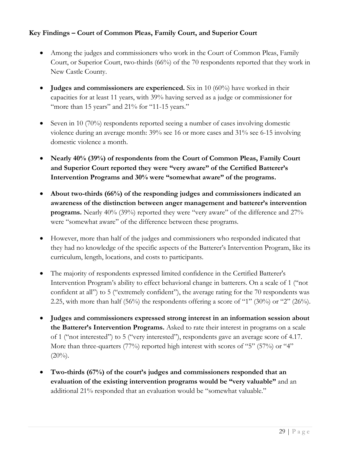## **Key Findings – Court of Common Pleas, Family Court, and Superior Court**

- Among the judges and commissioners who work in the Court of Common Pleas, Family Court, or Superior Court, two-thirds (66%) of the 70 respondents reported that they work in New Castle County.
- **Judges and commissioners are experienced.** Six in 10 (60%) have worked in their capacities for at least 11 years, with 39% having served as a judge or commissioner for "more than 15 years" and 21% for "11-15 years."
- Seven in 10 (70%) respondents reported seeing a number of cases involving domestic violence during an average month: 39% see 16 or more cases and 31% see 6-15 involving domestic violence a month.
- **Nearly 40% (39%) of respondents from the Court of Common Pleas, Family Court and Superior Court reported they were "very aware" of the Certified Batterer's Intervention Programs and 30% were "somewhat aware" of the programs.**
- **About two-thirds (66%) of the responding judges and commissioners indicated an awareness of the distinction between anger management and batterer's intervention programs.** Nearly 40% (39%) reported they were "very aware" of the difference and 27% were "somewhat aware" of the difference between these programs.
- However, more than half of the judges and commissioners who responded indicated that they had no knowledge of the specific aspects of the Batterer's Intervention Program, like its curriculum, length, locations, and costs to participants.
- The majority of respondents expressed limited confidence in the Certified Batterer's Intervention Program's ability to effect behavioral change in batterers. On a scale of 1 ("not confident at all") to 5 ("extremely confident"), the average rating for the 70 respondents was 2.25, with more than half (56%) the respondents offering a score of "1" (30%) or "2" (26%).
- **Judges and commissioners expressed strong interest in an information session about the Batterer's Intervention Programs.** Asked to rate their interest in programs on a scale of 1 ("not interested") to 5 ("very interested"), respondents gave an average score of 4.17. More than three-quarters (77%) reported high interest with scores of "5" (57%) or "4"  $(20\%)$ .
- **Two-thirds (67%) of the court's judges and commissioners responded that an evaluation of the existing intervention programs would be "very valuable"** and an additional 21% responded that an evaluation would be "somewhat valuable."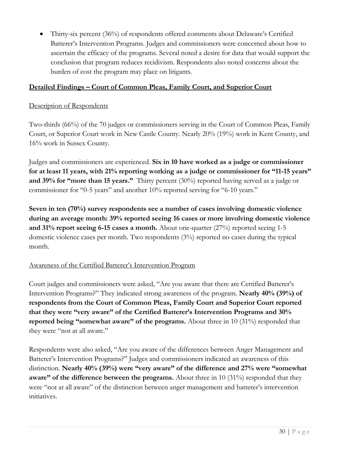• Thirty-six percent (36%) of respondents offered comments about Delaware's Certified Batterer's Intervention Programs. Judges and commissioners were concerned about how to ascertain the efficacy of the programs. Several noted a desire for data that would support the conclusion that program reduces recidivism. Respondents also noted concerns about the burden of cost the program may place on litigants.

## **Detailed Findings – Court of Common Pleas, Family Court, and Superior Court**

#### Description of Respondents

Two-thirds (66%) of the 70 judges or commissioners serving in the Court of Common Pleas, Family Court, or Superior Court work in New Castle County. Nearly 20% (19%) work in Kent County, and 16% work in Sussex County.

Judges and commissioners are experienced. **Six in 10 have worked as a judge or commissioner for at least 11 years, with 21% reporting working as a judge or commissioner for "11-15 years" and 39% for "more than 15 years."** Thirty percent (30%) reported having served as a judge or commissioner for "0-5 years" and another 10% reported serving for "6-10 years."

**Seven in ten (70%) survey respondents see a number of cases involving domestic violence during an average month: 39% reported seeing 16 cases or more involving domestic violence and 31% report seeing 6-15 cases a month.** About one-quarter (27%) reported seeing 1-5 domestic violence cases per month. Two respondents (3%) reported no cases during the typical month.

### Awareness of the Certified Batterer's Intervention Program

Court judges and commissioners were asked, "Are you aware that there are Certified Batterer's Intervention Programs?" They indicated strong awareness of the program. **Nearly 40% (39%) of respondents from the Court of Common Pleas, Family Court and Superior Court reported that they were "very aware" of the Certified Batterer's Intervention Programs and 30% reported being "somewhat aware" of the programs.** About three in 10 (31%) responded that they were "not at all aware."

Respondents were also asked, "Are you aware of the differences between Anger Management and Batterer's Intervention Programs?" Judges and commissioners indicated an awareness of this distinction. **Nearly 40% (39%) were "very aware" of the difference and 27% were "somewhat aware" of the difference between the programs.** About three in 10 (31%) responded that they were "not at all aware" of the distinction between anger management and batterer's intervention initiatives.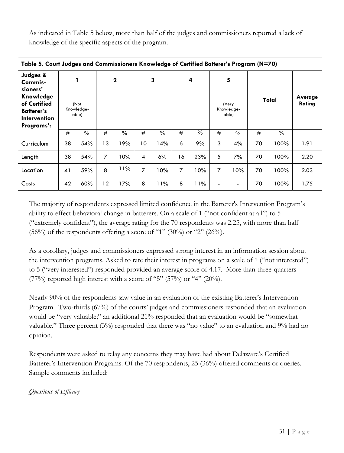As indicated in Table 5 below, more than half of the judges and commissioners reported a lack of knowledge of the specific aspects of the program.

| Table 5. Court Judges and Commissioners Knowledge of Certified Batterer's Program (N=70)                               |    |                             |                |               |                |      |    |               |   |                                   |    |               |                   |
|------------------------------------------------------------------------------------------------------------------------|----|-----------------------------|----------------|---------------|----------------|------|----|---------------|---|-----------------------------------|----|---------------|-------------------|
| Judges &<br>Commis-<br>sioners'<br>Knowledge<br>of Certified<br><b>Batterer's</b><br><b>Intervention</b><br>Programs': |    | (Not<br>Knowledge-<br>able) |                | $\mathbf 2$   |                | 3    |    | 4             |   | 5<br>(Very<br>Knowledge-<br>able) |    | Total         | Average<br>Rating |
|                                                                                                                        | #  | $\%$                        | #              | $\frac{0}{0}$ | #              | $\%$ | #  | $\frac{0}{0}$ | # | $\frac{0}{0}$                     | #  | $\frac{0}{0}$ |                   |
| Curriculum                                                                                                             | 38 | 54%                         | 13             | 19%           | 10             | 14%  | 6  | 9%            | 3 | 4%                                | 70 | 100%          | 1.91              |
| Length                                                                                                                 | 38 | 54%                         | $\overline{7}$ | 10%           | 4              | 6%   | 16 | 23%           | 5 | 7%                                | 70 | 100%          | 2.20              |
| Location                                                                                                               | 41 | 59%                         | 8              | 11%           | $\overline{7}$ | 10%  | 7  | 10%           | 7 | 10%                               | 70 | 100%          | 2.03              |
| Costs                                                                                                                  | 42 | 60%                         | 12             | 17%           | 8              | 11%  | 8  | 11%           |   | $\blacksquare$                    | 70 | 100%          | 1.75              |

The majority of respondents expressed limited confidence in the Batterer's Intervention Program's ability to effect behavioral change in batterers. On a scale of 1 ("not confident at all") to 5 ("extremely confident"), the average rating for the 70 respondents was 2.25, with more than half  $(56\%)$  of the respondents offering a score of "1"  $(30\%)$  or "2"  $(26\%)$ .

As a corollary, judges and commissioners expressed strong interest in an information session about the intervention programs. Asked to rate their interest in programs on a scale of 1 ("not interested") to 5 ("very interested") responded provided an average score of 4.17. More than three-quarters (77%) reported high interest with a score of "5" (57%) or "4" (20%).

Nearly 90% of the respondents saw value in an evaluation of the existing Batterer's Intervention Program. Two-thirds (67%) of the courts' judges and commissioners responded that an evaluation would be "very valuable;" an additional 21% responded that an evaluation would be "somewhat valuable." Three percent (3%) responded that there was "no value" to an evaluation and 9% had no opinion.

Respondents were asked to relay any concerns they may have had about Delaware's Certified Batterer's Intervention Programs. Of the 70 respondents, 25 (36%) offered comments or queries. Sample comments included:

# *Questions of Efficacy*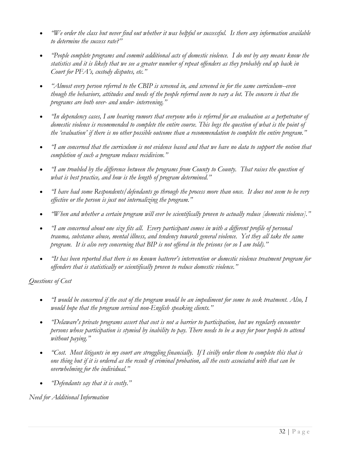- *"We order the class but never find out whether it was helpful or successful. Is there any information available to determine the success rate?"*
- *"People complete programs and commit additional acts of domestic violence. I do not by any means know the statistics and it is likely that we see a greater number of repeat offenders as they probably end up back in Court for PFA's, custody disputes, etc."*
- *"Almost every person referred to the CBIP is screened in, and screened in for the same curriculum--even though the behaviors, attitudes and needs of the people referred seem to vary a lot. The concern is that the programs are both over- and under- intervening."*
- *"In dependency cases, I am hearing rumors that everyone who is referred for an evaluation as a perpetrator of domestic violence is recommended to complete the entire course. This begs the question of what is the point of* the 'evaluation' if there is no other possible outcome than a recommendation to complete the entire program."
- *"I am concerned that the curriculum is not evidence based and that we have no data to support the notion that completion of such a program reduces recidivism."*
- *"I am troubled by the difference between the programs from County to County. That raises the question of what is best practice, and how is the length of program determined."*
- *"I have had some Respondents/defendants go through the process more than once. It does not seem to be very effective or the person is just not internalizing the program."*
- *"When and whether a certain program will ever be scientifically proven to actually reduce [domestic violence]."*
- *"I am concerned about one size fits all. Every participant comes in with a different profile of personal trauma, substance abuse, mental illness, and tendency towards general violence. Yet they all take the same program. It is also very concerning that BIP is not offered in the prisons (or so I am told)."*
- *"It has been reported that there is no known batterer's intervention or domestic violence treatment program for offenders that is statistically or scientifically proven to reduce domestic violence."*

*Questions of Cost*

- *"I would be concerned if the cost of the program would be an impediment for some to seek treatment. Also, I would hope that the program serviced non-English speaking clients."*
- *"Delaware's private programs assert that cost is not a barrier to participation, but we regularly encounter persons whose participation is stymied by inability to pay. There needs to be a way for poor people to attend without paying."*
- *"Cost. Most litigants in my court are struggling financially. If I civilly order them to complete this that is one thing but if it is ordered as the result of criminal probation, all the costs associated with that can be overwhelming for the individual."*
- *"Defendants say that it is costly."*

*Need for Additional Information*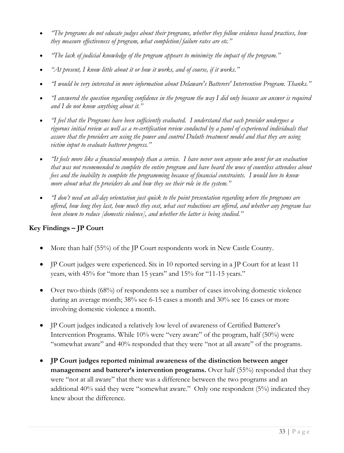- *"The programs do not educate judges about their programs, whether they follow evidence based practices, how they measure effectiveness of program, what completion/failure rates are etc."*
- *"The lack of judicial knowledge of the program appears to minimize the impact of the program."*
- *"At present, I know little about it or how it works, and of course, if it works."*
- *"I would be very interested in more information about Delaware's Batterers' Intervention Program. Thanks."*
- *"I answered the question regarding confidence in the program the way I did only because an answer is required and I do not know anything about it."*
- *"I feel that the Programs have been sufficiently evaluated. I understand that each provider undergoes a rigorous initial review as well as a re-certification review conducted by a panel of experienced individuals that assure that the providers are using the power and control Duluth treatment model and that they are using victim input to evaluate batterer progress."*
- *"It feels more like a financial monopoly than a service. I have never seen anyone who went for an evaluation that was not recommended to complete the entire program and have heard the woes of countless attendees about fees and the inability to complete the programming because of financial constraints. I would love to know more about what the providers do and how they see their role in the system."*
- *"I don't need an all-day orientation just quick to the point presentation regarding where the programs are offered, how long they last, how much they cost, what cost reductions are offered, and whether any program has been shown to reduce [domestic violence], and whether the latter is being studied."*

# **Key Findings – JP Court**

- More than half (55%) of the JP Court respondents work in New Castle County.
- JP Court judges were experienced. Six in 10 reported serving in a JP Court for at least 11 years, with 45% for "more than 15 years" and 15% for "11-15 years."
- Over two-thirds (68%) of respondents see a number of cases involving domestic violence during an average month; 38% see 6-15 cases a month and 30% see 16 cases or more involving domestic violence a month.
- JP Court judges indicated a relatively low level of awareness of Certified Batterer's Intervention Programs. While 10% were "very aware" of the program, half (50%) were "somewhat aware" and 40% responded that they were "not at all aware" of the programs.
- **JP Court judges reported minimal awareness of the distinction between anger management and batterer's intervention programs.** Over half (55%) responded that they were "not at all aware" that there was a difference between the two programs and an additional 40% said they were "somewhat aware." Only one respondent (5%) indicated they knew about the difference.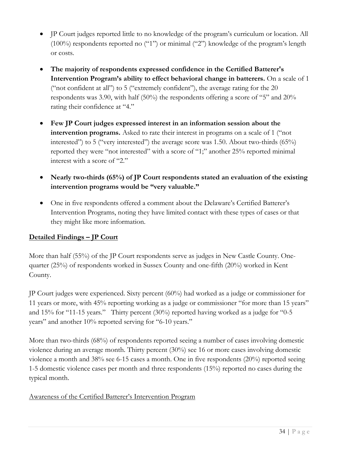- IP Court judges reported little to no knowledge of the program's curriculum or location. All (100%) respondents reported no ("1") or minimal ("2") knowledge of the program's length or costs.
- **The majority of respondents expressed confidence in the Certified Batterer's Intervention Program's ability to effect behavioral change in batterers.** On a scale of 1 ("not confident at all") to 5 ("extremely confident"), the average rating for the 20 respondents was 3.90, with half (50%) the respondents offering a score of "5" and 20% rating their confidence at "4."
- **Few JP Court judges expressed interest in an information session about the intervention programs.** Asked to rate their interest in programs on a scale of 1 ("not interested") to 5 ("very interested") the average score was 1.50. About two-thirds (65%) reported they were "not interested" with a score of "1;" another 25% reported minimal interest with a score of "2."
- Nearly two-thirds (65%) of JP Court respondents stated an evaluation of the existing **intervention programs would be "very valuable."**
- One in five respondents offered a comment about the Delaware's Certified Batterer's Intervention Programs, noting they have limited contact with these types of cases or that they might like more information.

# **Detailed Findings – JP Court**

More than half (55%) of the JP Court respondents serve as judges in New Castle County. Onequarter (25%) of respondents worked in Sussex County and one-fifth (20%) worked in Kent County.

JP Court judges were experienced. Sixty percent (60%) had worked as a judge or commissioner for 11 years or more, with 45% reporting working as a judge or commissioner "for more than 15 years" and 15% for "11-15 years." Thirty percent (30%) reported having worked as a judge for "0-5 years" and another 10% reported serving for "6-10 years."

More than two-thirds (68%) of respondents reported seeing a number of cases involving domestic violence during an average month. Thirty percent (30%) see 16 or more cases involving domestic violence a month and 38% see 6-15 cases a month. One in five respondents (20%) reported seeing 1-5 domestic violence cases per month and three respondents (15%) reported no cases during the typical month.

# Awareness of the Certified Batterer's Intervention Program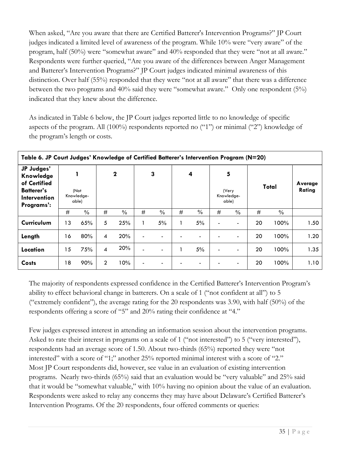When asked, "Are you aware that there are Certified Batterer's Intervention Programs?" JP Court judges indicated a limited level of awareness of the program. While 10% were "very aware" of the program, half (50%) were "somewhat aware" and 40% responded that they were "not at all aware." Respondents were further queried, "Are you aware of the differences between Anger Management and Batterer's Intervention Programs?" JP Court judges indicated minimal awareness of this distinction. Over half (55%) responded that they were "not at all aware" that there was a difference between the two programs and 40% said they were "somewhat aware." Only one respondent (5%) indicated that they knew about the difference.

As indicated in Table 6 below, the JP Court judges reported little to no knowledge of specific aspects of the program. All (100%) respondents reported no ("1") or minimal ("2") knowledge of the program's length or costs.

| Table 6. JP Court Judges' Knowledge of Certified Batterer's Intervention Program (N=20)           |    |                             |                |               |   |                          |   |               |                |                                   |    |               |                   |
|---------------------------------------------------------------------------------------------------|----|-----------------------------|----------------|---------------|---|--------------------------|---|---------------|----------------|-----------------------------------|----|---------------|-------------------|
| JP Judges'<br>Knowledge<br>of Certified<br><b>Batterer's</b><br><b>Intervention</b><br>Programs': |    | (Not<br>Knowledge-<br>able) |                | $\mathbf 2$   |   | 3                        |   | 4             |                | 5<br>(Very<br>Knowledge-<br>able) |    | Total         | Average<br>Rating |
|                                                                                                   | #  | $\frac{0}{0}$               | #              | $\frac{0}{0}$ | # | $\%$                     | # | $\frac{0}{0}$ | #              | $\%$                              | #  | $\frac{0}{0}$ |                   |
| Curriculum                                                                                        | 13 | 65%                         | 5              | 25%           |   | 5%                       |   | 5%            |                | $\blacksquare$                    | 20 | 100%          | 1.50              |
| Length                                                                                            | 16 | 80%                         | $\overline{4}$ | 20%           |   | $\overline{\phantom{0}}$ |   |               |                | $\overline{\phantom{a}}$          | 20 | 100%          | 1.20              |
| Location                                                                                          | 15 | 75%                         | 4              | 20%           |   | $\overline{\phantom{0}}$ |   | 5%            | $\blacksquare$ | $\overline{\phantom{0}}$          | 20 | 100%          | 1.35              |
| <b>Costs</b>                                                                                      | 18 | 90%                         | $\overline{2}$ | 10%           |   | $\blacksquare$           |   |               |                | $\blacksquare$                    | 20 | 100%          | 1.10              |

The majority of respondents expressed confidence in the Certified Batterer's Intervention Program's ability to effect behavioral change in batterers. On a scale of 1 ("not confident at all") to 5 ("extremely confident"), the average rating for the 20 respondents was 3.90, with half  $(50\%)$  of the respondents offering a score of "5" and 20% rating their confidence at "4."

Few judges expressed interest in attending an information session about the intervention programs. Asked to rate their interest in programs on a scale of 1 ("not interested") to 5 ("very interested"), respondents had an average score of 1.50. About two-thirds (65%) reported they were "not interested" with a score of "1;" another 25% reported minimal interest with a score of "2." Most JP Court respondents did, however, see value in an evaluation of existing intervention programs. Nearly two-thirds (65%) said that an evaluation would be "very valuable" and 25% said that it would be "somewhat valuable," with 10% having no opinion about the value of an evaluation. Respondents were asked to relay any concerns they may have about Delaware's Certified Batterer's Intervention Programs. Of the 20 respondents, four offered comments or queries: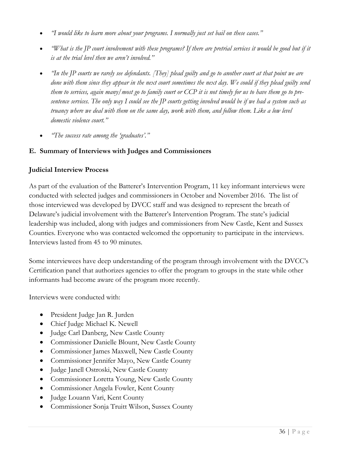- *"I would like to learn more about your programs. I normally just set bail on these cases."*
- *"What is the JP court involvement with these programs? If there are pretrial services it would be good but if it is at the trial level then we aren't involved."*
- *"In the JP courts we rarely see defendants. [They] plead guilty and go to another court at that point we are done with them since they appear in the next court sometimes the next day. We could if they plead guilty send them to services, again many/most go to family court or CCP it is not timely for us to have them go to presentence services. The only way I could see the JP courts getting involved would be if we had a system such as truancy where we deal with them on the same day, work with them, and follow them. Like a low level domestic violence court."*
- *"The success rate among the 'graduates'."*

### **E. Summary of Interviews with Judges and Commissioners**

### **Judicial Interview Process**

As part of the evaluation of the Batterer's Intervention Program, 11 key informant interviews were conducted with selected judges and commissioners in October and November 2016. The list of those interviewed was developed by DVCC staff and was designed to represent the breath of Delaware's judicial involvement with the Batterer's Intervention Program. The state's judicial leadership was included, along with judges and commissioners from New Castle, Kent and Sussex Counties. Everyone who was contacted welcomed the opportunity to participate in the interviews. Interviews lasted from 45 to 90 minutes.

Some interviewees have deep understanding of the program through involvement with the DVCC's Certification panel that authorizes agencies to offer the program to groups in the state while other informants had become aware of the program more recently.

Interviews were conducted with:

- President Judge Jan R. Jurden
- Chief Judge Michael K. Newell
- Judge Carl Danberg, New Castle County
- Commissioner Danielle Blount, New Castle County
- Commissioner James Maxwell, New Castle County
- Commissioner Jennifer Mayo, New Castle County
- Judge Janell Ostroski, New Castle County
- Commissioner Loretta Young, New Castle County
- Commissioner Angela Fowler, Kent County
- Judge Louann Vari, Kent County
- Commissioner Sonja Truitt Wilson, Sussex County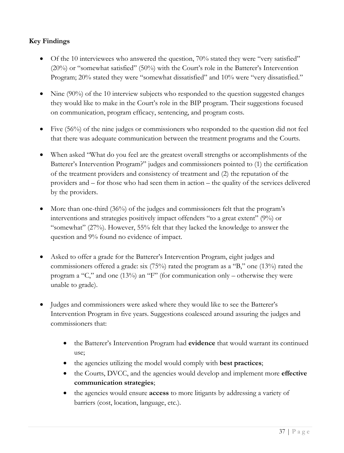# **Key Findings**

- Of the 10 interviewees who answered the question, 70% stated they were "very satisfied" (20%) or "somewhat satisfied" (50%) with the Court's role in the Batterer's Intervention Program; 20% stated they were "somewhat dissatisfied" and 10% were "very dissatisfied."
- Nine  $(90\%)$  of the 10 interview subjects who responded to the question suggested changes they would like to make in the Court's role in the BIP program. Their suggestions focused on communication, program efficacy, sentencing, and program costs.
- Five (56%) of the nine judges or commissioners who responded to the question did not feel that there was adequate communication between the treatment programs and the Courts.
- When asked "What do you feel are the greatest overall strengths or accomplishments of the Batterer's Intervention Program?" judges and commissioners pointed to (1) the certification of the treatment providers and consistency of treatment and (2) the reputation of the providers and – for those who had seen them in action – the quality of the services delivered by the providers.
- More than one-third (36%) of the judges and commissioners felt that the program's interventions and strategies positively impact offenders "to a great extent" (9%) or "somewhat" (27%). However, 55% felt that they lacked the knowledge to answer the question and 9% found no evidence of impact.
- Asked to offer a grade for the Batterer's Intervention Program, eight judges and commissioners offered a grade: six (75%) rated the program as a "B," one (13%) rated the program a "C," and one (13%) an "F" (for communication only – otherwise they were unable to grade).
- Judges and commissioners were asked where they would like to see the Batterer's Intervention Program in five years. Suggestions coalesced around assuring the judges and commissioners that:
	- the Batterer's Intervention Program had **evidence** that would warrant its continued use;
	- the agencies utilizing the model would comply with **best practices**;
	- the Courts, DVCC, and the agencies would develop and implement more **effective communication strategies**;
	- the agencies would ensure **access** to more litigants by addressing a variety of barriers (cost, location, language, etc.).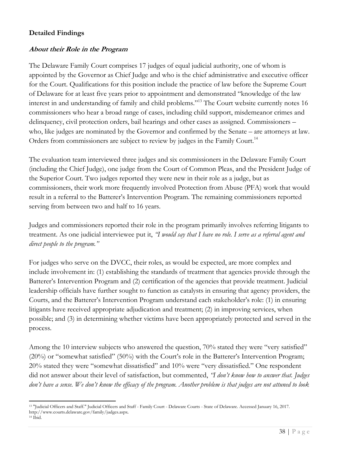# **Detailed Findings**

### *About their Role in the Program*

The Delaware Family Court comprises 17 judges of equal judicial authority, one of whom is appointed by the Governor as Chief Judge and who is the chief administrative and executive officer for the Court. Qualifications for this position include the practice of law before the Supreme Court of Delaware for at least five years prior to appointment and demonstrated "knowledge of the law interest in and understanding of family and child problems."<sup>13</sup> The Court website currently notes 16 commissioners who hear a broad range of cases, including child support, misdemeanor crimes and delinquency, civil protection orders, bail hearings and other cases as assigned. Commissioners – who, like judges are nominated by the Governor and confirmed by the Senate – are attorneys at law. Orders from commissioners are subject to review by judges in the Family Court.<sup>14</sup>

The evaluation team interviewed three judges and six commissioners in the Delaware Family Court (including the Chief Judge), one judge from the Court of Common Pleas, and the President Judge of the Superior Court. Two judges reported they were new in their role as a judge, but as commissioners, their work more frequently involved Protection from Abuse (PFA) work that would result in a referral to the Batterer's Intervention Program. The remaining commissioners reported serving from between two and half to 16 years.

Judges and commissioners reported their role in the program primarily involves referring litigants to treatment. As one judicial interviewee put it, *"I would say that I have no role. I serve as a referral agent and direct people to the program."*

For judges who serve on the DVCC, their roles, as would be expected, are more complex and include involvement in: (1) establishing the standards of treatment that agencies provide through the Batterer's Intervention Program and (2) certification of the agencies that provide treatment. Judicial leadership officials have further sought to function as catalysts in ensuring that agency providers, the Courts, and the Batterer's Intervention Program understand each stakeholder's role: (1) in ensuring litigants have received appropriate adjudication and treatment; (2) in improving services, when possible; and (3) in determining whether victims have been appropriately protected and served in the process.

Among the 10 interview subjects who answered the question, 70% stated they were "very satisfied" (20%) or "somewhat satisfied" (50%) with the Court's role in the Batterer's Intervention Program; 20% stated they were "somewhat dissatisfied" and 10% were "very dissatisfied." One respondent did not answer about their level of satisfaction, but commented, *"I don't know how to answer that. Judges don't have a sense. We don't know the efficacy of the program. Another problem is that judges are not attuned to look*

<sup>13</sup> "Judicial Officers and Staff." Judicial Officers and Staff - Family Court - Delaware Courts - State of Delaware. Accessed January 16, 2017. http://www.courts.delaware.gov/family/judges.aspx.

<sup>14</sup> Ibid.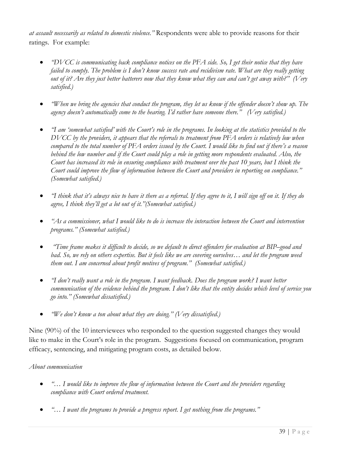*at assault necessarily as related to domestic violence."* Respondents were able to provide reasons for their ratings. For example:

- *"DVCC is communicating back compliance notices on the PFA side. So, I get their notice that they have failed to comply. The problem is I don't know success rate and recidivism rate. What are they really getting out of it? Are they just better batterers now that they know what they can and can't get away with?" (Very satisfied.)*
- *"When we bring the agencies that conduct the program, they let us know if the offender doesn't show up. The agency doesn't automatically come to the hearing. I'd rather have someone there." (Very satisfied.)*
- *"I am 'somewhat satisfied' with the Court's role in the programs. In looking at the statistics provided to the DVCC by the providers, it appears that the referrals to treatment from PFA orders is relatively low when compared to the total number of PFA orders issued by the Court. I would like to find out if there's a reason behind the low number and if the Court could play a role in getting more respondents evaluated. Also, the Court has increased its role in ensuring compliance with treatment over the past 10 years, but I think the Court could improve the flow of information between the Court and providers in reporting on compliance." (Somewhat satisfied.)*
- *"I think that it's always nice to have it there as a referral. If they agree to it, I will sign off on it. If they do agree, I think they'll get a lot out of it."(Somewhat satisfied.)*
- *"As a commissioner, what I would like to do is increase the interaction between the Court and intervention programs." (Somewhat satisfied.)*
- *"Time frame makes it difficult to decide, so we default to direct offenders for evaluation at BIP–good and bad. So, we rely on others expertise. But it feels like we are covering ourselves… and let the program weed them out. I am concerned about profit motives of program." (Somewhat satisfied.)*
- *"I don't really want a role in the program. I want feedback. Does the program work? I want better communication of the evidence behind the program. I don't like that the entity decides which level of service you go into." (Somewhat dissatisfied.)*
- *"We don't know a ton about what they are doing." (Very dissatisfied.)*

Nine (90%) of the 10 interviewees who responded to the question suggested changes they would like to make in the Court's role in the program. Suggestions focused on communication, program efficacy, sentencing, and mitigating program costs, as detailed below.

# *About communication*

- *"… I would like to improve the flow of information between the Court and the providers regarding compliance with Court ordered treatment.*
- *"… I want the programs to provide a progress report. I get nothing from the programs."*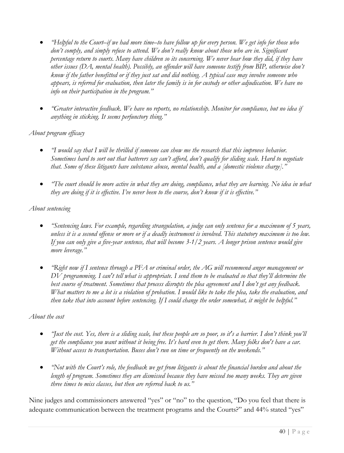- *"Helpful to the Court–if we had more time–to have follow up for every person. We get info for those who don't comply, and simply refuse to attend. We don't really know about those who are in. Significant percentage return to courts. Many have children so its concerning. We never hear how they did, if they have other issues (DA, mental health). Possibly, an offender will have someone testify from BIP, otherwise don't know if the father benefitted or if they just sat and did nothing. A typical case may involve someone who appears, is referred for evaluation, then later the family is in for custody or other adjudication. We have no info on their participation in the program."*
- *"Greater interactive feedback. We have no reports, no relationship. Monitor for compliance, but no idea if anything in sticking. It seems perfunctory thing."*

### *About program efficacy*

- *"I would say that I will be thrilled if someone can show me the research that this improves behavior. Sometimes hard to sort out that batterers say can't afford, don't qualify for sliding scale. Hard to negotiate that. Some of these litigants have substance abuse, mental health, and a [domestic violence charge]."*
- *"The court should be more active in what they are doing, compliance, what they are learning. No idea in what they are doing if it is effective. I've never been to the course, don't know if it is effective."*

### *About sentencing*

- *"Sentencing laws. For example, regarding strangulation, a judge can only sentence for a maximum of 5 years, unless it is a second offense or more or if a deadly instrument is involved. This statutory maximum is too low. If you can only give a five-year sentence, that will become 3-1/2 years. A longer prison sentence would give more leverage."*
- *"Right now if I sentence through a PFA or criminal order, the AG will recommend anger management or DV programming. I can't tell what is appropriate. I send them to be evaluated so that they'll determine the best course of treatment. Sometimes that process disrupts the plea agreement and I don't get any feedback. What matters to me a lot is a violation of probation. I would like to take the plea, take the evaluation, and then take that into account before sentencing. If I could change the order somewhat, it might be helpful."*

### *About the cost*

- *"Just the cost. Yes, there is a sliding scale, but these people are so poor, so it's a barrier. I don't think you'll get the compliance you want without it being free. It's hard even to get there. Many folks don't have a car. Without access to transportation. Buses don't run on time or frequently on the weekends."*
- *"Not with the Court's role, the feedback we get from litigants is about the financial burden and about the length of program. Sometimes they are dismissed because they have missed too many weeks. They are given three times to miss classes, but then are referred back to us."*

Nine judges and commissioners answered "yes" or "no" to the question, "Do you feel that there is adequate communication between the treatment programs and the Courts?" and 44% stated "yes"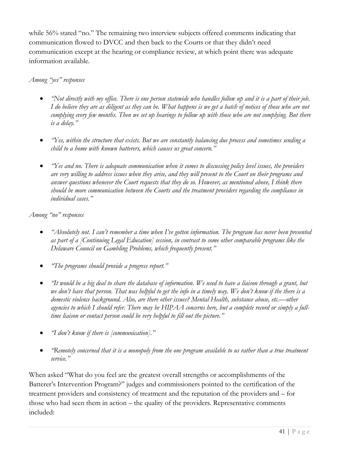while 56% stated "no." The remaining two interview subjects offered comments indicating that communication flowed to DVCC and then back to the Courts or that they didn't need communication except at the hearing or compliance review, at which point there was adequate information available.

# *Among "yes" responses*

- *"Not directly with my office. There is one person statewide who handles follow up and it is a part of their job. I do believe they are as diligent as they can be. What happens is we get a batch of notices of those who are not complying every few months. Then we set up hearings to follow up with those who are not complying. But there is a delay."*
- *"Yes, within the structure that exists. But we are constantly balancing due process and sometimes sending a child to a home with known batterers, which causes us great concern."*
- *"Yes and no. There is adequate communication when it comes to discussing policy level issues, the providers are very willing to address issues when they arise, and they will present to the Court on their programs and answer questions whenever the Court requests that they do so. However, as mentioned above, I think there should be more communication between the Courts and the treatment providers regarding the compliance in individual cases."*

*Among "no" responses*

- *"Absolutely not. I can't remember a time when I've gotten information. The program has never been presented as part of a [Continuing Legal Education] session, in contrast to some other comparable programs like the Delaware Council on Gambling Problems, which frequently present."*
- *"The programs should provide a progress report."*
- *"It would be a big deal to share the database of information. We used to have a liaison through a grant, but we don't have that person. That was helpful to get the info in a timely way. We don't know if the there is a domestic violence background. Also, are there other issues? Mental Health, substance abuse, etc.—other agencies to which I should refer. There may be HIPAA concerns here, but a complete record or simply a fulltime liaison or contact person could be very helpful to fill out the picture."*
- *"I don't know if there is [communication]."*
- *"Remotely concerned that it is a monopoly from the one program available to us rather than a true treatment service."*

When asked "What do you feel are the greatest overall strengths or accomplishments of the Batterer's Intervention Program?" judges and commissioners pointed to the certification of the treatment providers and consistency of treatment and the reputation of the providers and – for those who had seen them in action – the quality of the providers. Representative comments included: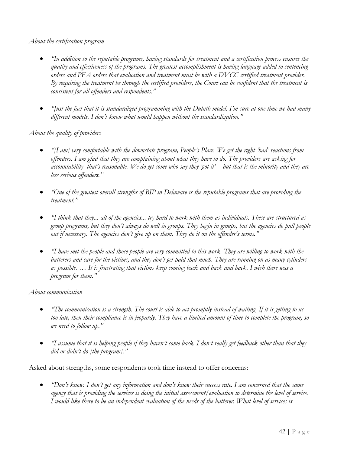### *About the certification program*

- *"In addition to the reputable programs, having standards for treatment and a certification process ensures the quality and effectiveness of the programs. The greatest accomplishment is having language added to sentencing orders and PFA orders that evaluation and treatment must be with a DVCC certified treatment provider. By requiring the treatment be through the certified providers, the Court can be confident that the treatment is consistent for all offenders and respondents."*
- *"Just the fact that it is standardized programming with the Duluth model. I'm sure at one time we had many different models. I don't know what would happen without the standardization."*

# *About the quality of providers*

- *"[I am] very comfortable with the downstate program, People's Place. We get the right 'bad' reactions from offenders. I am glad that they are complaining about what they have to do. The providers are asking for accountability–that's reasonable. We do get some who say they 'got it' – but that is the minority and they are less serious offenders."*
- *"One of the greatest overall strengths of BIP in Delaware is the reputable programs that are providing the treatment."*
- *"I think that they... all of the agencies... try hard to work with them as individuals. These are structured as group programs, but they don't always do well in groups. They begin in groups, but the agencies do pull people out if necessary. The agencies don't give up on them. They do it on the offender's terms."*
- *"I have met the people and those people are very committed to this work. They are willing to work with the batterers and care for the victims, and they don't get paid that much. They are running on as many cylinders as possible. … It is frustrating that victims keep coming back and back and back. I wish there was a program for them."*

### *About communication*

- *"The communication is a strength. The court is able to act promptly instead of waiting. If it is getting to us too late, then their compliance is in jeopardy. They have a limited amount of time to complete the program, so we need to follow up."*
- *"I assume that it is helping people if they haven't come back. I don't really get feedback other than that they did or didn't do [the program]."*

Asked about strengths, some respondents took time instead to offer concerns:

• *"Don't know. I don't get any information and don't know their success rate. I am concerned that the same agency that is providing the services is doing the initial assessment/evaluation to determine the level of service. I would like there to be an independent evaluation of the needs of the batterer. What level of services is*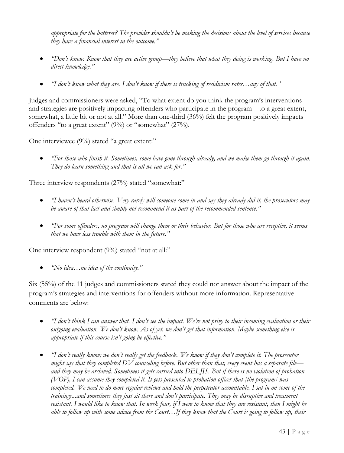*appropriate for the batterer? The provider shouldn't be making the decisions about the level of services because they have a financial interest in the outcome."*

- *"Don't know. Know that they are active group—they believe that what they doing is working. But I have no direct knowledge."*
- *"I don't know what they are. I don't know if there is tracking of recidivism rates…any of that."*

Judges and commissioners were asked, "To what extent do you think the program's interventions and strategies are positively impacting offenders who participate in the program – to a great extent, somewhat, a little bit or not at all." More than one-third (36%) felt the program positively impacts offenders "to a great extent" (9%) or "somewhat" (27%).

One interviewee (9%) stated "a great extent:"

• *"For those who finish it. Sometimes, some have gone through already, and we make them go through it again. They do learn something and that is all we can ask for."*

Three interview respondents (27%) stated "somewhat:"

- *"I haven't heard otherwise. Very rarely will someone come in and say they already did it, the prosecutors may be aware of that fact and simply not recommend it as part of the recommended sentence."*
- *"For some offenders, no program will change them or their behavior. But for those who are receptive, it seems that we have less trouble with them in the future."*

One interview respondent (9%) stated "not at all:"

• *"No idea…no idea of the continuity."*

Six (55%) of the 11 judges and commissioners stated they could not answer about the impact of the program's strategies and interventions for offenders without more information. Representative comments are below:

- *"I don't think I can answer that. I don't see the impact. We're not privy to their incoming evaluation or their outgoing evaluation. We don't know. As of yet, we don't get that information. Maybe something else is appropriate if this course isn't going be effective."*
- *"I don't really know; we don't really get the feedback. We know if they don't complete it. The prosecutor might say that they completed DV counseling before. But other than that, every event has a separate file and they may be archived. Sometimes it gets carried into DELJIS. But if there is no violation of probation (VOP), I can assume they completed it. It gets presented to probation officer that [the program] was completed. We need to do more regular reviews and hold the perpetrator accountable. I sat in on some of the trainings...and sometimes they just sit there and don't participate. They may be disruptive and treatment resistant. I would like to know that. In week four, if I were to know that they are resistant, then I might be able to follow up with some advice from the Court…If they know that the Court is going to follow up, their*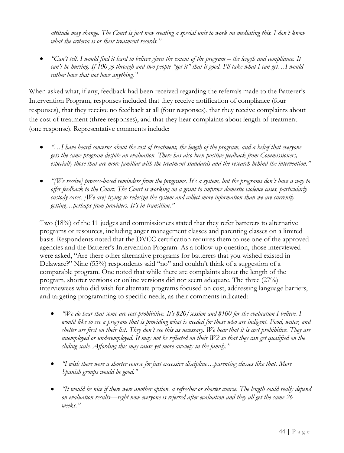*attitude may change. The Court is just now creating a special unit to work on mediating this. I don't know what the criteria is or their treatment records."*

• *"Can't tell. I would find it hard to believe given the extent of the program – the length and compliance. It can't be hurting. If 100 go through and two people "got it" that it good. I'll take what I can get…I would rather have that not have anything."*

When asked what, if any, feedback had been received regarding the referrals made to the Batterer's Intervention Program, responses included that they receive notification of compliance (four responses), that they receive no feedback at all (four responses), that they receive complaints about the cost of treatment (three responses), and that they hear complaints about length of treatment (one response). Representative comments include:

- *"…I have heard concerns about the cost of treatment, the length of the program, and a belief that everyone gets the same program despite an evaluation. There has also been positive feedback from Commissioners, especially those that are more familiar with the treatment standards and the research behind the intervention."*
- *"[We receive] process-based reminders from the programs. It's a system, but the programs don't have a way to offer feedback to the Court. The Court is working on a grant to improve domestic violence cases, particularly custody cases. [We are] trying to redesign the system and collect more information than we are currently getting…perhaps from providers. It's in transition."*

Two (18%) of the 11 judges and commissioners stated that they refer batterers to alternative programs or resources, including anger management classes and parenting classes on a limited basis. Respondents noted that the DVCC certification requires them to use one of the approved agencies and the Batterer's Intervention Program. As a follow-up question, those interviewed were asked, "Are there other alternative programs for batterers that you wished existed in Delaware?" Nine (55%) respondents said "no" and couldn't think of a suggestion of a comparable program. One noted that while there are complaints about the length of the program, shorter versions or online versions did not seem adequate. The three (27%) interviewees who did wish for alternate programs focused on cost, addressing language barriers, and targeting programming to specific needs, as their comments indicated:

- *"We do hear that some are cost-prohibitive. It's \$20/session and \$100 for the evaluation I believe. I would like to see a program that is providing what is needed for those who are indigent. Food, water, and shelter are first on their list. They don't see this as necessary. We hear that it is cost prohibitive. They are unemployed or underemployed. It may not be reflected on their W2 so that they can get qualified on the sliding scale. Affording this may cause yet more anxiety in the family."*
- *"I wish there were a shorter course for just excessive discipline…parenting classes like that. More Spanish groups would be good."*
- *"It would be nice if there were another option, a refresher or shorter course. The length could really depend on evaluation results—right now everyone is referred after evaluation and they all get the same 26 weeks."*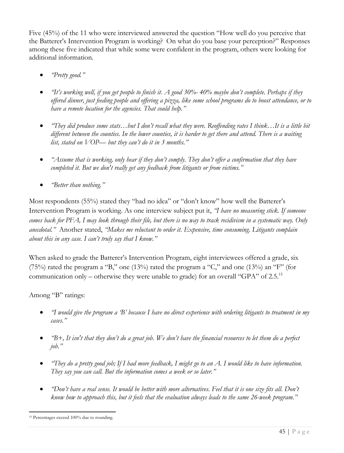Five (45%) of the 11 who were interviewed answered the question "How well do you perceive that the Batterer's Intervention Program is working? On what do you base your perception?" Responses among these five indicated that while some were confident in the program, others were looking for additional information.

- *"Pretty good."*
- *"It's working well, if you get people to finish it. A good 30%- 40% maybe don't complete. Perhaps if they offered dinner, just feeding people and offering a pizza, like some school programs do to boost attendance, or to have a remote location for the agencies. That could help."*
- *"They did produce some stats…but I don't recall what they were. Reoffending rates I think…It is a little bit different between the counties. In the lower counties, it is harder to get there and attend. There is a waiting list, stated on VOP— but they can't do it in 3 months."*
- *"Assume that is working, only hear if they don't comply. They don't offer a confirmation that they have completed it. But we don't really get any feedback from litigants or from victims."*
- *"Better than nothing."*

Most respondents (55%) stated they "had no idea" or "don't know" how well the Batterer's Intervention Program is working. As one interview subject put it, *"I have no measuring stick. If someone comes back for PFA, I may look through their file, but there is no way to track recidivism in a systematic way. Only anecdotal."* Another stated, *"Makes me reluctant to order it. Expensive, time consuming. Litigants complain about this in any case. I can't truly say that I know."*

When asked to grade the Batterer's Intervention Program, eight interviewees offered a grade, six (75%) rated the program a "B," one (13%) rated the program a "C," and one (13%) an "F" (for communication only – otherwise they were unable to grade) for an overall "GPA" of  $2.5<sup>15</sup>$ 

# Among "B" ratings:

- *"I would give the program a 'B' because I have no direct experience with ordering litigants to treatment in my cases."*
- *"B+, It isn't that they don't do a great job. We don't have the financial resources to let them do a perfect job."*
- *"They do a pretty good job; If I had more feedback, I might go to an A. I would like to have information. They say you can call. But the information comes a week or so later."*
- *"Don't have a real sense. It would be better with more alternatives. Feel that it is one size fits all. Don't know how to approach this, but it feels that the evaluation always leads to the same 26-week program."*

<sup>15</sup> Percentages exceed 100% due to rounding.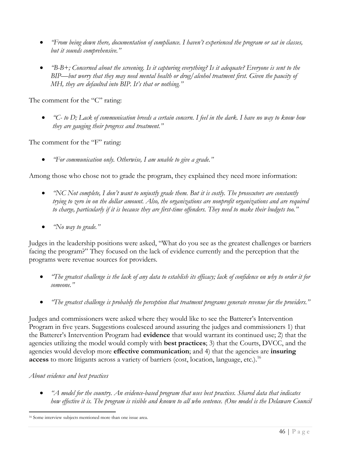- *"From being down there, documentation of compliance. I haven't experienced the program or sat in classes, but it sounds comprehensive."*
- *"B-B+; Concerned about the screening. Is it capturing everything? Is it adequate? Everyone is sent to the BIP—but worry that they may need mental health or drug/alcohol treatment first. Given the paucity of MH, they are defaulted into BIP. It's that or nothing."*

The comment for the "C" rating:

• *"C- to D; Lack of communication breeds a certain concern. I feel in the dark. I have no way to know how they are gauging their progress and treatment."*

The comment for the "F" rating:

• *"For communication only. Otherwise, I am unable to give a grade."*

Among those who chose not to grade the program, they explained they need more information:

- *"NC Not complete, I don't want to unjustly grade them. But it is costly. The prosecutors are constantly trying to zero in on the dollar amount. Also, the organizations are nonprofit organizations and are required to charge, particularly if it is because they are first-time offenders. They need to make their budgets too."*
- *"No way to grade."*

Judges in the leadership positions were asked, "What do you see as the greatest challenges or barriers facing the program?" They focused on the lack of evidence currently and the perception that the programs were revenue sources for providers.

- *"The greatest challenge is the lack of any data to establish its efficacy; lack of confidence on why to order it for someone."*
- *"The greatest challenge is probably the perception that treatment programs generate revenue for the providers."*

Judges and commissioners were asked where they would like to see the Batterer's Intervention Program in five years. Suggestions coalesced around assuring the judges and commissioners 1) that the Batterer's Intervention Program had **evidence** that would warrant its continued use; 2) that the agencies utilizing the model would comply with **best practices**; 3) that the Courts, DVCC, and the agencies would develop more **effective communication**; and 4) that the agencies are **insuring access** to more litigants across a variety of barriers (cost, location, language, etc.).<sup>16</sup>

### *About evidence and best practices*

• *"A model for the country. An evidence-based program that uses best practices. Shared data that indicates how effective it is. The program is visible and known to all who sentence. (One model is the Delaware Council*

<sup>16</sup> Some interview subjects mentioned more than one issue area.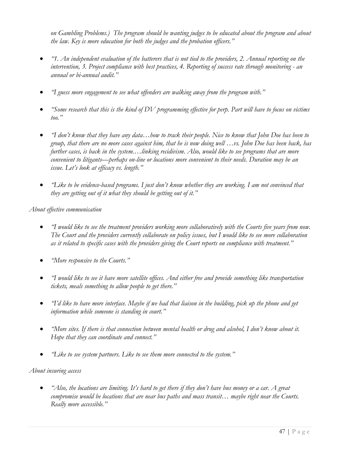*on Gambling Problems.) The program should be wanting judges to be educated about the program and about the law. Key is more education for both the judges and the probation officers."*

- *"1. An independent evaluation of the batterers that is not tied to the providers, 2. Annual reporting on the intervention, 3. Project compliance with best practices, 4. Reporting of success rate through monitoring - an annual or bi-annual audit."*
- *"I guess more engagement to see what offenders are walking away from the program with."*
- *"Some research that this is the kind of DV programming effective for perp. Part will have to focus on victims too."*
- *"I don't know that they have any data…how to track their people. Nice to know that John Doe has been to group, that there are no more cases against him, that he is now doing well …vs. John Doe has been back, has further cases, is back in the system.…linking recidivism. Also, would like to see programs that are more convenient to litigants—perhaps on-line or locations more convenient to their needs. Duration may be an issue. Let's look at efficacy vs. length."*
- *"Like to be evidence-based programs. I just don't know whether they are working. I am not convinced that they are getting out of it what they should be getting out of it."*

*About effective communication*

- *"I would like to see the treatment providers working more collaboratively with the Courts five years from now. The Court and the providers currently collaborate on policy issues, but I would like to see more collaboration as it related to specific cases with the providers giving the Court reports on compliance with treatment."*
- *"More responsive to the Courts."*
- *"I would like to see it have more satellite offices. And either free and provide something like transportation tickets, meals something to allow people to get there."*
- *"I'd like to have more interface. Maybe if we had that liaison in the building, pick up the phone and get information while someone is standing in court."*
- *"More sites. If there is that connection between mental health or drug and alcohol, I don't know about it. Hope that they can coordinate and connect."*
- *"Like to see system partners. Like to see them more connected to the system."*

#### *About insuring access*

• *"Also, the locations are limiting. It's hard to get there if they don't have bus money or a car. A great compromise would be locations that are near bus paths and mass transit… maybe right near the Courts. Really more accessible."*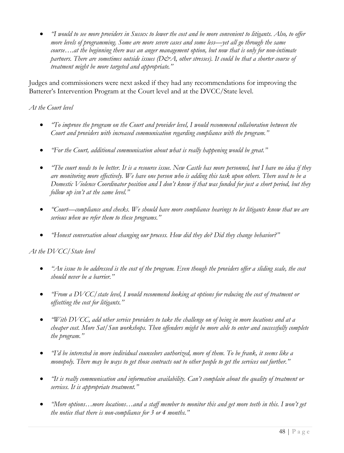• *"I would to see more providers in Sussex to lower the cost and be more convenient to litigants. Also, to offer more levels of programming. Some are more severe cases and some less—yet all go through the same course….at the beginning there was an anger management option, but now that is only for non-intimate partners. There are sometimes outside issues (D&A, other stresses). It could be that a shorter course of treatment might be more targeted and appropriate."*

Judges and commissioners were next asked if they had any recommendations for improving the Batterer's Intervention Program at the Court level and at the DVCC/State level.

## *At the Court level*

- *"To improve the program on the Court and provider level, I would recommend collaboration between the Court and providers with increased communication regarding compliance with the program."*
- *"For the Court, additional communication about what is really happening would be great."*
- *"The court needs to be better. It is a resource issue. New Castle has more personnel, but I have no idea if they are monitoring more effectively. We have one person who is adding this task upon others. There used to be a Domestic Violence Coordinator position and I don't know if that was funded for just a short period, but they follow up isn't at the same level."*
- *"Court—compliance and checks. We should have more compliance hearings to let litigants know that we are serious when we refer them to these programs."*
- *"Honest conversation about changing our process. How did they do? Did they change behavior?"*

# *At the DVCC/State level*

- *"An issue to be addressed is the cost of the program. Even though the providers offer a sliding scale, the cost should never be a barrier."*
- *"From a DVCC/state level, I would recommend looking at options for reducing the cost of treatment or offsetting the cost for litigants."*
- *"With DVCC, add other service providers to take the challenge on of being in more locations and at a cheaper cost. More Sat/Sun workshops. Then offenders might be more able to enter and successfully complete the program."*
- *"I'd be interested in more individual counselors authorized, more of them. To be frank, it seems like a monopoly. There may be ways to get those contracts out to other people to get the services out further."*
- *"It is really communication and information availability. Can't complain about the quality of treatment or services. It is appropriate treatment."*
- *"More options…more locations…and a staff member to monitor this and get more teeth in this. I won't get the notice that there is non-compliance for 3 or 4 months."*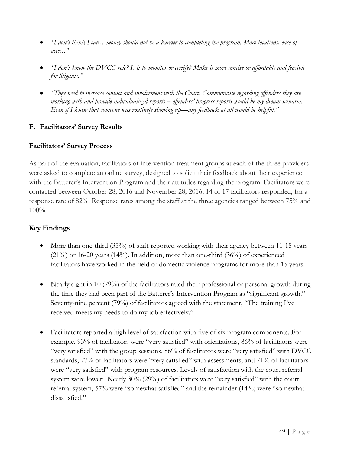- *"I don't think I can…money should not be a barrier to completing the program. More locations, ease of access."*
- *"I don't know the DVCC role? Is it to monitor or certify? Make it more concise or affordable and feasible for litigants."*
- *"They need to increase contact and involvement with the Court. Communicate regarding offenders they are working with and provide individualized reports – offenders' progress reports would be my dream scenario. Even if I knew that someone was routinely showing up—any feedback at all would be helpful."*

# **F. Facilitators' Survey Results**

### **Facilitators' Survey Process**

As part of the evaluation, facilitators of intervention treatment groups at each of the three providers were asked to complete an online survey, designed to solicit their feedback about their experience with the Batterer's Intervention Program and their attitudes regarding the program. Facilitators were contacted between October 28, 2016 and November 28, 2016; 14 of 17 facilitators responded, for a response rate of 82%. Response rates among the staff at the three agencies ranged between 75% and  $100\%$ .

# **Key Findings**

- More than one-third (35%) of staff reported working with their agency between 11-15 years  $(21\%)$  or 16-20 years  $(14\%)$ . In addition, more than one-third  $(36\%)$  of experienced facilitators have worked in the field of domestic violence programs for more than 15 years.
- Nearly eight in 10 (79%) of the facilitators rated their professional or personal growth during the time they had been part of the Batterer's Intervention Program as "significant growth." Seventy-nine percent (79%) of facilitators agreed with the statement, "The training I've received meets my needs to do my job effectively."
- Facilitators reported a high level of satisfaction with five of six program components. For example, 93% of facilitators were "very satisfied" with orientations, 86% of facilitators were "very satisfied" with the group sessions, 86% of facilitators were "very satisfied" with DVCC standards, 77% of facilitators were "very satisfied" with assessments, and 71% of facilitators were "very satisfied" with program resources. Levels of satisfaction with the court referral system were lower: Nearly 30% (29%) of facilitators were "very satisfied" with the court referral system, 57% were "somewhat satisfied" and the remainder (14%) were "somewhat dissatisfied."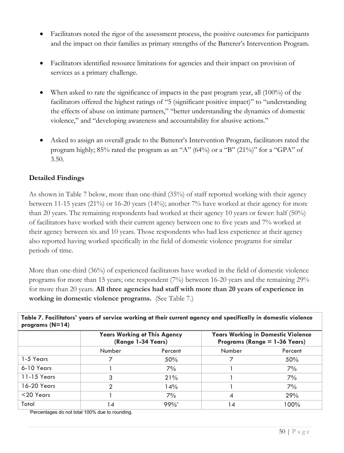- Facilitators noted the rigor of the assessment process, the positive outcomes for participants and the impact on their families as primary strengths of the Batterer's Intervention Program.
- Facilitators identified resource limitations for agencies and their impact on provision of services as a primary challenge.
- When asked to rate the significance of impacts in the past program year, all (100%) of the facilitators offered the highest ratings of "5 (significant positive impact)" to "understanding the effects of abuse on intimate partners," "better understanding the dynamics of domestic violence," and "developing awareness and accountability for abusive actions."
- Asked to assign an overall grade to the Batterer's Intervention Program, facilitators rated the program highly; 85% rated the program as an "A" (64%) or a "B" (21%)" for a "GPA" of 3.50.

# **Detailed Findings**

As shown in Table 7 below, more than one-third (35%) of staff reported working with their agency between 11-15 years (21%) or 16-20 years (14%); another 7% have worked at their agency for more than 20 years. The remaining respondents had worked at their agency 10 years or fewer: half (50%) of facilitators have worked with their current agency between one to five years and 7% worked at their agency between six and 10 years. Those respondents who had less experience at their agency also reported having worked specifically in the field of domestic violence programs for similar periods of time.

More than one-third (36%) of experienced facilitators have worked in the field of domestic violence programs for more than 15 years; one respondent (7%) between 16-20 years and the remaining 29% for more than 20 years. **All three agencies had staff with more than 20 years of experience in working in domestic violence programs.** (See Table 7.)

**Table 7. Facilitators' years of service working at their current agency and specifically in domestic violence programs (N=14)**

|              | (Range 1-34 Years) | <b>Years Working at This Agency</b> | <b>Years Working in Domestic Violence</b><br>Programs (Range $=$ 1-36 Years) |         |  |  |
|--------------|--------------------|-------------------------------------|------------------------------------------------------------------------------|---------|--|--|
|              | Number<br>Percent  |                                     | Number                                                                       | Percent |  |  |
| 1-5 Years    |                    | 50%                                 |                                                                              | 50%     |  |  |
| 6-10 Years   |                    | 7%                                  |                                                                              | 7%      |  |  |
| 11-15 Years  | 3                  | 21%                                 |                                                                              | 7%      |  |  |
| 16-20 Years  |                    | 14%                                 |                                                                              | 7%      |  |  |
| $<$ 20 Years |                    | 7%                                  |                                                                              | 29%     |  |  |
| Total        | 14                 | 99%                                 | 14                                                                           | 100%    |  |  |

\*Percentages do not total 100% due to rounding.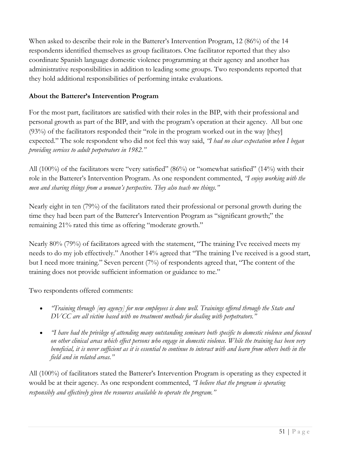When asked to describe their role in the Batterer's Intervention Program, 12 (86%) of the 14 respondents identified themselves as group facilitators. One facilitator reported that they also coordinate Spanish language domestic violence programming at their agency and another has administrative responsibilities in addition to leading some groups. Two respondents reported that they hold additional responsibilities of performing intake evaluations.

## **About the Batterer's Intervention Program**

For the most part, facilitators are satisfied with their roles in the BIP, with their professional and personal growth as part of the BIP, and with the program's operation at their agency. All but one (93%) of the facilitators responded their "role in the program worked out in the way [they] expected." The sole respondent who did not feel this way said, *"I had no clear expectation when I began providing services to adult perpetrators in 1982."*

All (100%) of the facilitators were "very satisfied" (86%) or "somewhat satisfied" (14%) with their role in the Batterer's Intervention Program. As one respondent commented, *"I enjoy working with the men and sharing things from a woman's perspective. They also teach me things."*

Nearly eight in ten (79%) of the facilitators rated their professional or personal growth during the time they had been part of the Batterer's Intervention Program as "significant growth;" the remaining 21% rated this time as offering "moderate growth."

Nearly 80% (79%) of facilitators agreed with the statement, "The training I've received meets my needs to do my job effectively." Another 14% agreed that "The training I've received is a good start, but I need more training." Seven percent (7%) of respondents agreed that, "The content of the training does not provide sufficient information or guidance to me."

Two respondents offered comments:

- *"Training through [my agency] for new employees is done well. Trainings offered through the State and DVCC are all victim based with no treatment methods for dealing with perpetrators."*
- *"I have had the privilege of attending many outstanding seminars both specific to domestic violence and focused on other clinical areas which effect persons who engage in domestic violence. While the training has been very beneficial, it is never sufficient as it is essential to continue to interact with and learn from others both in the field and in related areas."*

All (100%) of facilitators stated the Batterer's Intervention Program is operating as they expected it would be at their agency. As one respondent commented, *"I believe that the program is operating responsibly and effectively given the resources available to operate the program."*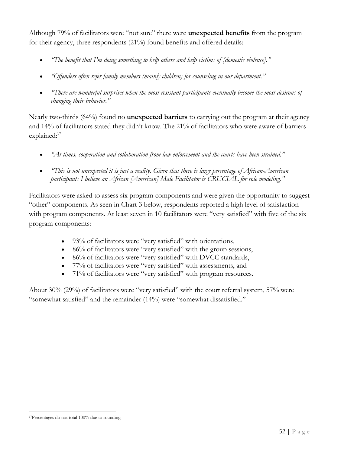Although 79% of facilitators were "not sure" there were **unexpected benefits** from the program for their agency, three respondents (21%) found benefits and offered details:

- *"The benefit that I'm doing something to help others and help victims of [domestic violence]."*
- *"Offenders often refer family members (mainly children) for counseling in our department."*
- *"There are wonderful surprises when the most resistant participants eventually become the most desirous of changing their behavior."*

Nearly two-thirds (64%) found no **unexpected barriers** to carrying out the program at their agency and 14% of facilitators stated they didn't know. The 21% of facilitators who were aware of barriers explained:<sup>17</sup>

- *"At times, cooperation and collaboration from law enforcement and the courts have been strained."*
- *"This is not unexpected it is just a reality. Given that there is large percentage of African-American participants I believe an African [American] Male Facilitator is CRUCIAL for role modeling."*

Facilitators were asked to assess six program components and were given the opportunity to suggest "other" components. As seen in Chart 3 below, respondents reported a high level of satisfaction with program components. At least seven in 10 facilitators were "very satisfied" with five of the six program components:

- 93% of facilitators were "very satisfied" with orientations,
- 86% of facilitators were "very satisfied" with the group sessions,
- 86% of facilitators were "very satisfied" with DVCC standards,
- 77% of facilitators were "very satisfied" with assessments, and
- 71% of facilitators were "very satisfied" with program resources.

About 30% (29%) of facilitators were "very satisfied" with the court referral system, 57% were "somewhat satisfied" and the remainder (14%) were "somewhat dissatisfied."

<sup>17</sup>Percentages do not total 100% due to rounding.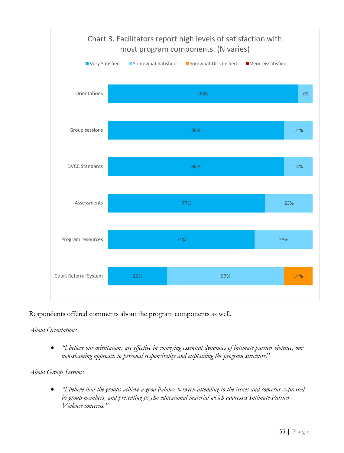

Respondents offered comments about the program components as well.

# *About Orientations*

• *"I believe our orientations are effective in conveying essential dynamics of intimate partner violence, our non-shaming approach to personal responsibility and explaining the program structure*."

# *About Group Sessions*

• *"I believe that the groups achieve a good balance between attending to the issues and concerns expressed by group members, and presenting psycho-educational material which addresses Intimate Partner Violence concerns."*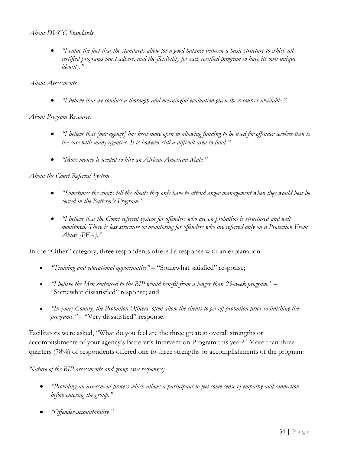### *About DVCC Standards*

• *"I value the fact that the standards allow for a good balance between a basic structure to which all certified programs must adhere, and the flexibility for each certified program to have its own unique identity."*

#### *About Assessments*

• *"I believe that we conduct a thorough and meaningful evaluation given the resources available."*

### *About Program Resources*

- *"I believe that [our agency] has been more open to allowing funding to be used for offender services then is the case with many agencies. It is however still a difficult area to fund."*
- *"More money is needed to hire an African American Male."*

### *About the Court Referral System*

- *"Sometimes the courts tell the clients they only have to attend anger management when they would best be served in the Batterer's Program."*
- *"I believe that the Court referral system for offenders who are on probation is structured and well monitored. There is less structure or monitoring for offenders who are referred only on a Protection From Abuse [PFA]."*

In the "Other" category, three respondents offered a response with an explanation:

- *"Training and educational opportunities"* "Somewhat satisfied" response;
- *"I believe the Men sentenced to the BIP would benefit from a longer than 25-week program."* "Somewhat dissatisfied" response; and
- *"In [our] County, the Probation Officers, often allow the clients to get off probation prior to finishing the programs." –* "Very dissatisfied" response.

Facilitators were asked, "What do you feel are the three greatest overall strengths or accomplishments of your agency's Batterer's Intervention Program this year?" More than threequarters (78%) of respondents offered one to three strengths or accomplishments of the program:

*Nature of the BIP assessments and group (six responses)*

- *"Providing an assessment process which allows a participant to feel some sense of empathy and connection before entering the group."*
- *"Offender accountability."*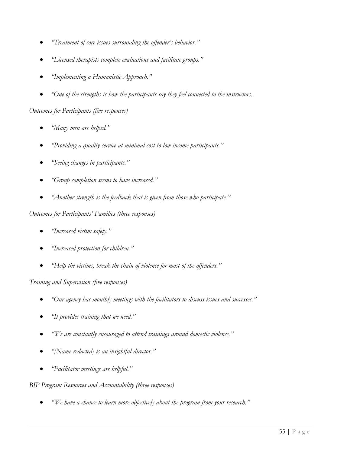- *"Treatment of core issues surrounding the offender's behavior."*
- *"Licensed therapists complete evaluations and facilitate groups."*
- *"Implementing a Humanistic Approach."*
- *"One of the strengths is how the participants say they feel connected to the instructors.*

*Outcomes for Participants (five responses)*

- *"Many men are helped."*
- *"Providing a quality service at minimal cost to low income participants."*
- *"Seeing changes in participants."*
- *"Group completion seems to have increased."*
- *"Another strength is the feedback that is given from those who participate."*

### *Outcomes for Participants' Families (three responses)*

- *"Increased victim safety."*
- *"Increased protection for children."*
- *"Help the victims, break the chain of violence for most of the offenders."*

# *Training and Supervision (five responses)*

- *"Our agency has monthly meetings with the facilitators to discuss issues and successes."*
- *"It provides training that we need."*
- *"We are constantly encouraged to attend trainings around domestic violence."*
- *"[Name redacted] is an insightful director."*
- *"Facilitator meetings are helpful."*

# *BIP Program Resources and Accountability (three responses)*

• *"We have a chance to learn more objectively about the program from your research."*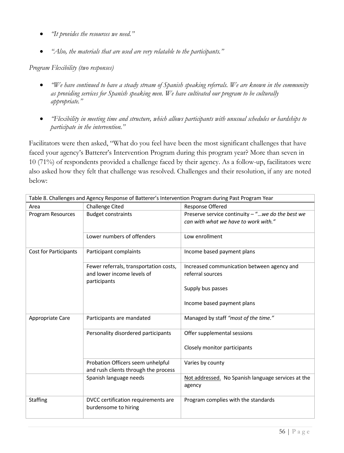- *"It provides the resources we need."*
- *"Also, the materials that are used are very relatable to the participants."*

*Program Flexibility (two responses)*

- *"We have continued to have a steady stream of Spanish speaking referrals. We are known in the community as providing services for Spanish speaking men. We have cultivated our program to be culturally appropriate."*
- *"Flexibility in meeting time and structure, which allows participants with unusual schedules or hardships to participate in the intervention."*

Facilitators were then asked, "What do you feel have been the most significant challenges that have faced your agency's Batterer's Intervention Program during this program year? More than seven in 10 (71%) of respondents provided a challenge faced by their agency. As a follow-up, facilitators were also asked how they felt that challenge was resolved. Challenges and their resolution, if any are noted below:

|                       | Table 8. Challenges and Agency Response of Batterer's Intervention Program during Past Program Year |                                                                                            |  |  |  |
|-----------------------|-----------------------------------------------------------------------------------------------------|--------------------------------------------------------------------------------------------|--|--|--|
| Area                  | <b>Challenge Cited</b>                                                                              | <b>Response Offered</b>                                                                    |  |  |  |
| Program Resources     | <b>Budget constraints</b>                                                                           | Preserve service continuity $-$ "we do the best we<br>can with what we have to work with." |  |  |  |
|                       | Lower numbers of offenders                                                                          | Low enrollment                                                                             |  |  |  |
| Cost for Participants | Participant complaints                                                                              | Income based payment plans                                                                 |  |  |  |
|                       | Fewer referrals, transportation costs,<br>and lower income levels of<br>participants                | Increased communication between agency and<br>referral sources                             |  |  |  |
|                       |                                                                                                     | Supply bus passes                                                                          |  |  |  |
|                       |                                                                                                     | Income based payment plans                                                                 |  |  |  |
| Appropriate Care      | Participants are mandated                                                                           | Managed by staff "most of the time."                                                       |  |  |  |
|                       | Personality disordered participants                                                                 | Offer supplemental sessions                                                                |  |  |  |
|                       |                                                                                                     | Closely monitor participants                                                               |  |  |  |
|                       | Probation Officers seem unhelpful<br>and rush clients through the process                           | Varies by county                                                                           |  |  |  |
|                       | Spanish language needs                                                                              | Not addressed. No Spanish language services at the<br>agency                               |  |  |  |
| <b>Staffing</b>       | DVCC certification requirements are<br>burdensome to hiring                                         | Program complies with the standards                                                        |  |  |  |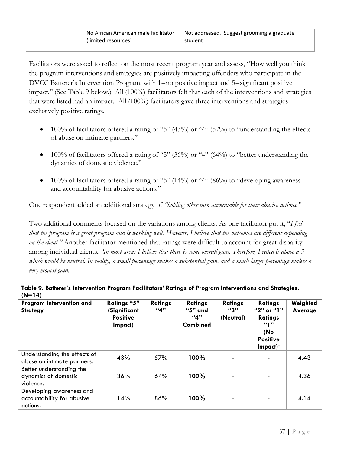| No African American male facilitator<br>(limited resources) | Not addressed. Suggest grooming a graduate<br>student |
|-------------------------------------------------------------|-------------------------------------------------------|
|                                                             |                                                       |

Facilitators were asked to reflect on the most recent program year and assess, "How well you think the program interventions and strategies are positively impacting offenders who participate in the DVCC Batterer's Intervention Program, with 1=no positive impact and 5=significant positive impact." (See Table 9 below.) All (100%) facilitators felt that each of the interventions and strategies that were listed had an impact. All (100%) facilitators gave three interventions and strategies exclusively positive ratings.

- 100% of facilitators offered a rating of "5" (43%) or "4" (57%) to "understanding the effects of abuse on intimate partners."
- 100% of facilitators offered a rating of "5"  $(36\%)$  or "4"  $(64\%)$  to "better understanding the dynamics of domestic violence."
- 100% of facilitators offered a rating of "5" (14%) or "4" (86%) to "developing awareness and accountability for abusive actions."

One respondent added an additional strategy of *"holding other men accountable for their abusive actions."*

Two additional comments focused on the variations among clients. As one facilitator put it, "*I feel that the program is a great program and is working well. However, I believe that the outcomes are different depending on the client."* Another facilitator mentioned that ratings were difficult to account for great disparity among individual clients, *"In most areas I believe that there is some overall gain. Therefore, I rated it above a 3 which would be neutral. In reality, a small percentage makes a substantial gain, and a much larger percentage makes a very modest gain.*

| Table 9. Batterer's Intervention Program Facilitators' Ratings of Program Interventions and Strategies.<br>$(N=14)$ |                                                                  |                       |                                                     |                                    |                                                                                                    |                     |  |  |  |  |
|---------------------------------------------------------------------------------------------------------------------|------------------------------------------------------------------|-----------------------|-----------------------------------------------------|------------------------------------|----------------------------------------------------------------------------------------------------|---------------------|--|--|--|--|
| Program Intervention and<br><b>Strategy</b>                                                                         | <b>Ratings "5"</b><br>(Significant<br><b>Positive</b><br>Impact) | <b>Ratings</b><br>44" | <b>Ratings</b><br>"5" and<br>"4"<br><b>Combined</b> | <b>Ratings</b><br>"3"<br>(Neutral) | <b>Ratings</b><br>"2" or "1"<br><b>Ratings</b><br>"1"<br>(No<br><b>Positive</b><br>$Im$ pact $)^*$ | Weighted<br>Average |  |  |  |  |
| Understanding the effects of<br>abuse on intimate partners.                                                         | 43%                                                              | 57%                   | 100%                                                |                                    |                                                                                                    | 4.43                |  |  |  |  |
| Better understanding the<br>dynamics of domestic<br>violence.                                                       | 36%                                                              | 64%                   | 100%                                                |                                    |                                                                                                    | 4.36                |  |  |  |  |
| Developing awareness and<br>accountability for abusive<br>actions.                                                  | 14%                                                              | 86%                   | 100%                                                |                                    |                                                                                                    | 4.14                |  |  |  |  |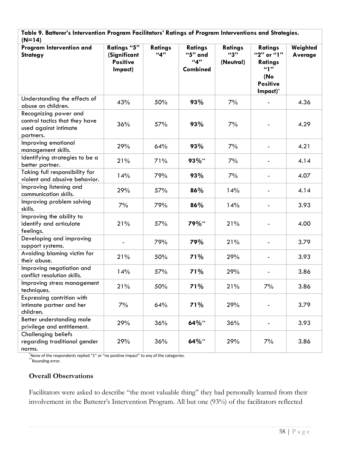**Table 9. Batterer's Intervention Program Facilitators' Ratings of Program Interventions and Strategies.**  $(M=14)$ 

| $(19 - 14)$                                                                                   |                                                           |                       |                                              |                                    |                                                                                      |                     |
|-----------------------------------------------------------------------------------------------|-----------------------------------------------------------|-----------------------|----------------------------------------------|------------------------------------|--------------------------------------------------------------------------------------|---------------------|
| Program Intervention and<br><b>Strategy</b>                                                   | Ratings "5"<br>(Significant<br><b>Positive</b><br>Impact) | <b>Ratings</b><br>411 | <b>Ratings</b><br>"5" and<br>411<br>Combined | <b>Ratings</b><br>43"<br>(Neutral) | <b>Ratings</b><br>"2" or "1"<br>Ratings<br>"1"<br>(No<br><b>Positive</b><br>Impact)* | Weighted<br>Average |
| Understanding the effects of<br>abuse on children.                                            | 43%                                                       | 50%                   | 93%                                          | 7%                                 |                                                                                      | 4.36                |
| Recognizing power and<br>control tactics that they have<br>used against intimate<br>partners. | 36%                                                       | 57%                   | 93%                                          | 7%                                 |                                                                                      | 4.29                |
| Improving emotional<br>management skills.                                                     | 29%                                                       | 64%                   | 93%                                          | 7%                                 |                                                                                      | 4.21                |
| Identifying strategies to be a<br>better partner.                                             | 21%                                                       | 71%                   | 93%**                                        | 7%                                 |                                                                                      | 4.14                |
| Taking full responsibility for<br>violent and abusive behavior.                               | 14%                                                       | 79%                   | 93%                                          | 7%                                 | $\overline{\phantom{0}}$                                                             | 4.07                |
| Improving listening and<br>communication skills.                                              | 29%                                                       | 57%                   | 86%                                          | 14%                                | $\overline{\phantom{0}}$                                                             | 4.14                |
| Improving problem solving<br>skills.                                                          | 7%                                                        | 79%                   | 86%                                          | 14%                                | $\blacksquare$                                                                       | 3.93                |
| Improving the ability to<br>identify and articulate<br>feelings.                              | 21%                                                       | 57%                   | 79%**                                        | 21%                                |                                                                                      | 4.00                |
| Developing and improving<br>support systems.                                                  |                                                           | 79%                   | 79%                                          | 21%                                | $\blacksquare$                                                                       | 3.79                |
| Avoiding blaming victim for<br>their abuse.                                                   | 21%                                                       | 50%                   | 71%                                          | 29%                                |                                                                                      | 3.93                |
| Improving negotiation and<br>conflict resolution skills.                                      | 14%                                                       | 57%                   | 71%                                          | 29%                                |                                                                                      | 3.86                |
| Improving stress management<br>techniques.                                                    | 21%                                                       | 50%                   | 71%                                          | 21%                                | 7%                                                                                   | 3.86                |
| Expressing contrition with<br>intimate partner and her<br>children.                           | 7%                                                        | 64%                   | 71%                                          | 29%                                | $\overline{\phantom{0}}$                                                             | 3.79                |
| Better understanding male<br>privilege and entitlement.                                       | 29%                                                       | 36%                   | 64%**                                        | 36%                                |                                                                                      | 3.93                |
| Challenging beliefs<br>regarding traditional gender<br>norms.                                 | 29%                                                       | 36%                   | 64%**                                        | 29%                                | 7%                                                                                   | 3.86                |

\*None of the respondents replied "1" or "no positive impact" to any of the categories. \*Rounding error.

### **Overall Observations**

Facilitators were asked to describe "the most valuable thing" they had personally learned from their involvement in the Batterer's Intervention Program. All but one (93%) of the facilitators reflected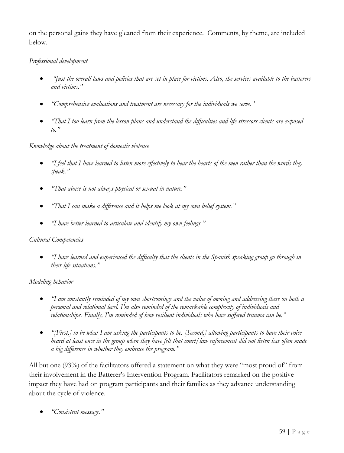on the personal gains they have gleaned from their experience. Comments, by theme, are included below.

# *Professional development*

- *"Just the overall laws and policies that are set in place for victims. Also, the services available to the batterers and victims."*
- *"Comprehensive evaluations and treatment are necessary for the individuals we serve."*
- *"That I too learn from the lesson plans and understand the difficulties and life stressors clients are exposed to."*

### *Knowledge about the treatment of domestic violence*

- *"I feel that I have learned to listen more effectively to hear the hearts of the men rather than the words they speak."*
- *"That abuse is not always physical or sexual in nature."*
- *"That I can make a difference and it helps me look at my own belief system."*
- *"I have better learned to articulate and identify my own feelings."*

### *Cultural Competencies*

• *"I have learned and experienced the difficulty that the clients in the Spanish speaking group go through in their life situations."*

### *Modeling behavior*

- *"I am constantly reminded of my own shortcomings and the value of owning and addressing these on both a personal and relational level. I'm also reminded of the remarkable complexity of individuals and relationships. Finally, I'm reminded of how resilient individuals who have suffered trauma can be."*
- *"[First,] to be what I am asking the participants to be. [Second,] allowing participants to have their voice heard at least once in the group when they have felt that court/law enforcement did not listen has often made a big difference in whether they embrace the program."*

All but one (93%) of the facilitators offered a statement on what they were "most proud of" from their involvement in the Batterer's Intervention Program. Facilitators remarked on the positive impact they have had on program participants and their families as they advance understanding about the cycle of violence.

• *"Consistent message."*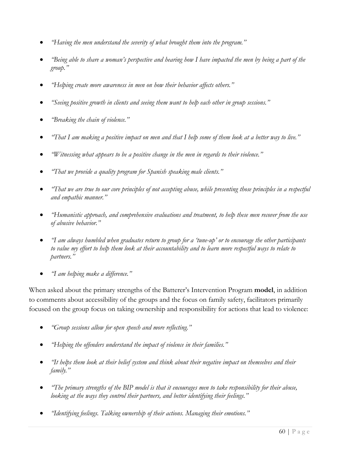- *"Having the men understand the severity of what brought them into the program."*
- *"Being able to share a woman's perspective and hearing how I have impacted the men by being a part of the group."*
- *"Helping create more awareness in men on how their behavior affects others."*
- *"Seeing positive growth in clients and seeing them want to help each other in group sessions."*
- *"Breaking the chain of violence."*
- *"That I am making a positive impact on men and that I help some of them look at a better way to live."*
- *"Witnessing what appears to be a positive change in the men in regards to their violence."*
- *"That we provide a quality program for Spanish speaking male clients."*
- *"That we are true to our core principles of not accepting abuse, while presenting those principles in a respectful and empathic manner."*
- *"Humanistic approach, and comprehensive evaluations and treatment, to help these men recover from the use of abusive behavior."*
- *"I am always humbled when graduates return to group for a 'tune-up' or to encourage the other participants to value my effort to help them look at their accountability and to learn more respectful ways to relate to partners."*
- *"I am helping make a difference."*

When asked about the primary strengths of the Batterer's Intervention Program **model**, in addition to comments about accessibility of the groups and the focus on family safety, facilitators primarily focused on the group focus on taking ownership and responsibility for actions that lead to violence:

- *"Group sessions allow for open speech and more reflecting."*
- *"Helping the offenders understand the impact of violence in their families."*
- *"It helps them look at their belief system and think about their negative impact on themselves and their family."*
- *"The primary strengths of the BIP model is that it encourages men to take responsibility for their abuse, looking at the ways they control their partners, and better identifying their feelings."*
- *"Identifying feelings. Talking ownership of their actions. Managing their emotions."*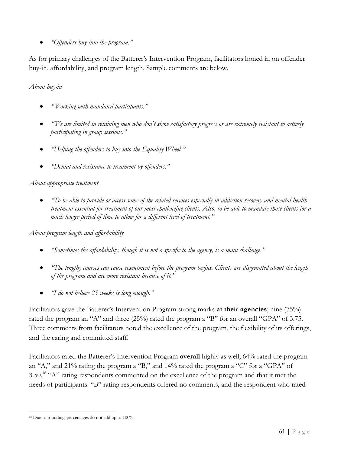• *"Offenders buy into the program."*

As for primary challenges of the Batterer's Intervention Program, facilitators honed in on offender buy-in, affordability, and program length. Sample comments are below.

# *About buy-in*

- *"Working with mandated participants."*
- *"We are limited in retaining men who don't show satisfactory progress or are extremely resistant to actively participating in group sessions."*
- *"Helping the offenders to buy into the Equality Wheel."*
- *"Denial and resistance to treatment by offenders."*

### *About appropriate treatment*

• *"To be able to provide or access some of the related services especially in addiction recovery and mental health treatment essential for treatment of our most challenging clients. Also, to be able to mandate those clients for a much longer period of time to allow for a different level of treatment."*

*About program length and affordability*

- *"Sometimes the affordability, though it is not a specific to the agency, is a main challenge."*
- *"The lengthy courses can cause resentment before the program begins. Clients are disgruntled about the length of the program and are more resistant because of it."*
- *"I do not believe 25 weeks is long enough."*

Facilitators gave the Batterer's Intervention Program strong marks **at their agencies**; nine (75%) rated the program an "A" and three (25%) rated the program a "B" for an overall "GPA" of 3.75. Three comments from facilitators noted the excellence of the program, the flexibility of its offerings, and the caring and committed staff.

Facilitators rated the Batterer's Intervention Program **overall** highly as well; 64% rated the program an "A," and 21% rating the program a "B," and 14% rated the program a "C" for a "GPA" of 3.50.<sup>18</sup> "A" rating respondents commented on the excellence of the program and that it met the needs of participants. "B" rating respondents offered no comments, and the respondent who rated

<sup>18</sup> Due to rounding, percentages do not add up to 100%.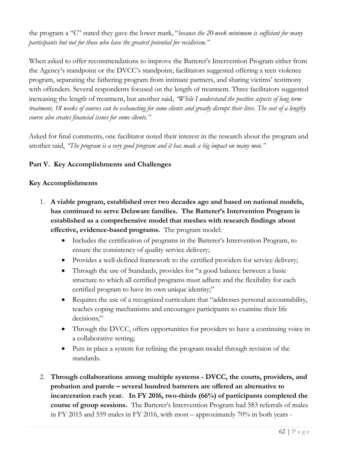the program a "C" stated they gave the lower mark, "*because the 20-week minimum is sufficient for many participants but not for those who have the greatest potential for recidivism."*

When asked to offer recommendations to improve the Batterer's Intervention Program either from the Agency's standpoint or the DVCC's standpoint, facilitators suggested offering a teen violence program, separating the fathering program from intimate partners, and sharing victims' testimony with offenders. Several respondents focused on the length of treatment. Three facilitators suggested increasing the length of treatment, but another said, *"While I understand the positive aspects of long term treatment, 18 weeks of courses can be exhausting for some clients and greatly disrupt their lives. The cost of a lengthy course also creates financial issues for some clients."*

Asked for final comments, one facilitator noted their interest in the research about the program and another said, *"The program is a very good program and it has made a big impact on many men."*

# **Part V. Key Accomplishments and Challenges**

#### **Key Accomplishments**

- 1. **A viable program, established over two decades ago and based on national models, has continued to serve Delaware families. The Batterer's Intervention Program is established as a comprehensive model that meshes with research findings about effective, evidence-based programs.** The program model:
	- Includes the certification of programs in the Batterer's Intervention Program, to ensure the consistency of quality service delivery;
	- Provides a well-defined framework to the certified providers for service delivery;
	- Through the use of Standards, provides for "a good balance between a basic structure to which all certified programs must adhere and the flexibility for each certified program to have its own unique identity;"
	- Requires the use of a recognized curriculum that "addresses personal accountability, teaches coping mechanisms and encourages participants to examine their life decisions:"
	- Through the DVCC, offers opportunities for providers to have a continuing voice in a collaborative setting;
	- Puts in place a system for refining the program model through revision of the standards.
- 2. **Through collaborations among multiple systems DVCC, the courts, providers, and probation and parole – several hundred batterers are offered an alternative to incarceration each year. In FY 2016, two-thirds (66%) of participants completed the course of group sessions.** The Batterer's Intervention Program had 583 referrals of males in FY 2015 and 559 males in FY 2016, with most – approximately 70% in both years -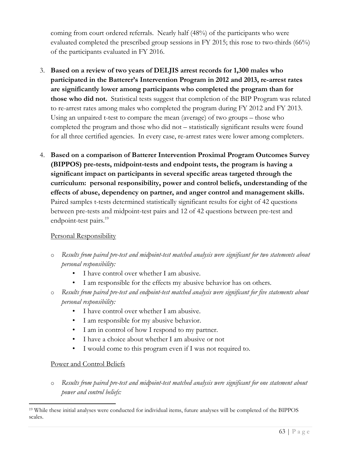coming from court ordered referrals. Nearly half (48%) of the participants who were evaluated completed the prescribed group sessions in FY 2015; this rose to two-thirds (66%) of the participants evaluated in FY 2016.

- 3. **Based on a review of two years of DELJIS arrest records for 1,300 males who participated in the Batterer's Intervention Program in 2012 and 2013, re-arrest rates are significantly lower among participants who completed the program than for those who did not.** Statistical tests suggest that completion of the BIP Program was related to re-arrest rates among males who completed the program during FY 2012 and FY 2013. Using an unpaired t-test to compare the mean (average) of two groups – those who completed the program and those who did not – statistically significant results were found for all three certified agencies. In every case, re-arrest rates were lower among completers.
- 4. **Based on a comparison of Batterer Intervention Proximal Program Outcomes Survey (BIPPOS) pre-tests, midpoint-tests and endpoint tests, the program is having a significant impact on participants in several specific areas targeted through the curriculum: personal responsibility, power and control beliefs, understanding of the effects of abuse, dependency on partner, and anger control and management skills.** Paired samples t-tests determined statistically significant results for eight of 42 questions between pre-tests and midpoint-test pairs and 12 of 42 questions between pre-test and endpoint-test pairs.<sup>19</sup>

### Personal Responsibility

- o *Results from paired pre-test and midpoint-test matched analysis were significant for two statements about personal responsibility:*
	- I have control over whether I am abusive.
	- I am responsible for the effects my abusive behavior has on others.
- o *Results from paired pre-test and endpoint-test matched analysis were significant for five statements about personal responsibility:*
	- I have control over whether I am abusive.
	- I am responsible for my abusive behavior.
	- I am in control of how I respond to my partner.
	- I have a choice about whether I am abusive or not
	- I would come to this program even if I was not required to.

### Power and Control Beliefs

o *Results from paired pre-test and midpoint-test matched analysis were significant for one statement about power and control beliefs:*

<sup>19</sup> While these initial analyses were conducted for individual items, future analyses will be completed of the BIPPOS scales.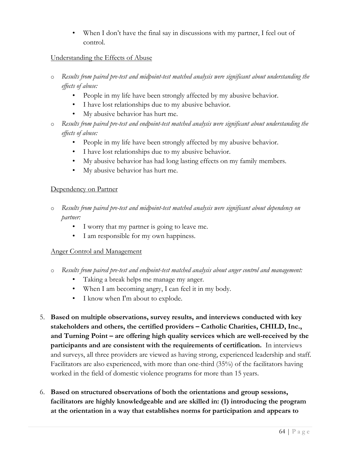When I don't have the final say in discussions with my partner, I feel out of control.

### Understanding the Effects of Abuse

- o *Results from paired pre-test and midpoint-test matched analysis were significant about understanding the effects of abuse:*
	- People in my life have been strongly affected by my abusive behavior.
	- I have lost relationships due to my abusive behavior.
	- My abusive behavior has hurt me.
- o *Results from paired pre-test and endpoint-test matched analysis were significant about understanding the effects of abuse:*
	- People in my life have been strongly affected by my abusive behavior.
	- I have lost relationships due to my abusive behavior.
	- My abusive behavior has had long lasting effects on my family members.
	- My abusive behavior has hurt me.

### Dependency on Partner

- o *Results from paired pre-test and midpoint-test matched analysis were significant about dependency on partner:*
	- I worry that my partner is going to leave me.
	- I am responsible for my own happiness.

### Anger Control and Management

- o *Results from paired pre-test and endpoint-test matched analysis about anger control and management:*
	- Taking a break helps me manage my anger.
	- When I am becoming angry, I can feel it in my body.
	- I know when I'm about to explode.
- 5. **Based on multiple observations, survey results, and interviews conducted with key stakeholders and others, the certified providers – Catholic Charities, CHILD, Inc., and Turning Point – are offering high quality services which are well-received by the participants and are consistent with the requirements of certification.** In interviews and surveys, all three providers are viewed as having strong, experienced leadership and staff. Facilitators are also experienced, with more than one-third (35%) of the facilitators having worked in the field of domestic violence programs for more than 15 years.
- 6. **Based on structured observations of both the orientations and group sessions, facilitators are highly knowledgeable and are skilled in: (1) introducing the program at the orientation in a way that establishes norms for participation and appears to**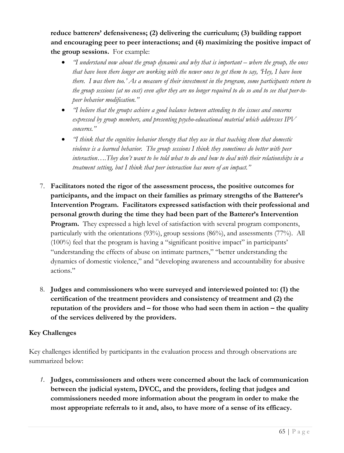**reduce batterers' defensiveness; (2) delivering the curriculum; (3) building rapport and encouraging peer to peer interactions; and (4) maximizing the positive impact of the group sessions.** For example:

- *"I understand now about the group dynamic and why that is important where the group, the ones that have been there longer are working with the newer ones to get them to say, 'Hey, I have been there. I was there too.' As a measure of their investment in the program, some participants return to the group sessions (at no cost) even after they are no longer required to do so and to see that peer-topeer behavior modification."*
- *"I believe that the groups achieve a good balance between attending to the issues and concerns expressed by group members, and presenting psycho-educational material which addresses IPV concerns."*
- *"I think that the cognitive behavior therapy that they use in that teaching them that domestic violence is a learned behavior. The group sessions I think they sometimes do better with peer interaction….They don't want to be told what to do and how to deal with their relationships in a treatment setting, but I think that peer interaction has more of an impact."*
- 7. **Facilitators noted the rigor of the assessment process, the positive outcomes for participants, and the impact on their families as primary strengths of the Batterer's Intervention Program. Facilitators expressed satisfaction with their professional and personal growth during the time they had been part of the Batterer's Intervention Program.** They expressed a high level of satisfaction with several program components, particularly with the orientations  $(93\%)$ , group sessions  $(86\%)$ , and assessments  $(77\%)$ . All (100%) feel that the program is having a "significant positive impact" in participants' "understanding the effects of abuse on intimate partners," "better understanding the dynamics of domestic violence," and "developing awareness and accountability for abusive actions."
- 8. **Judges and commissioners who were surveyed and interviewed pointed to: (1) the certification of the treatment providers and consistency of treatment and (2) the reputation of the providers and – for those who had seen them in action – the quality of the services delivered by the providers.**

# **Key Challenges**

Key challenges identified by participants in the evaluation process and through observations are summarized below:

*1.* **Judges, commissioners and others were concerned about the lack of communication between the judicial system, DVCC, and the providers, feeling that judges and commissioners needed more information about the program in order to make the most appropriate referrals to it and, also, to have more of a sense of its efficacy.**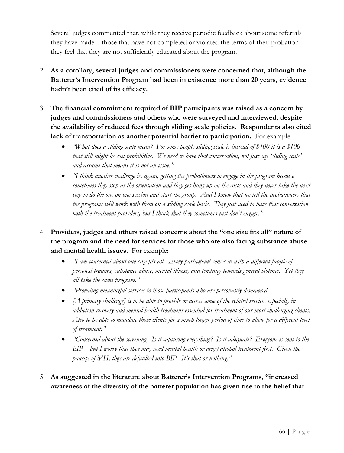Several judges commented that, while they receive periodic feedback about some referrals they have made – those that have not completed or violated the terms of their probation they feel that they are not sufficiently educated about the program.

- 2. **As a corollary, several judges and commissioners were concerned that, although the Batterer's Intervention Program had been in existence more than 20 years, evidence hadn't been cited of its efficacy.**
- 3. **The financial commitment required of BIP participants was raised as a concern by judges and commissioners and others who were surveyed and interviewed, despite the availability of reduced fees through sliding scale policies. Respondents also cited lack of transportation as another potential barrier to participation.** For example:
	- *"What does a sliding scale mean? For some people sliding scale is instead of \$400 it is a \$100 that still might be cost prohibitive. We need to have that conversation, not just say 'sliding scale' and assume that means it is not an issue."*
	- *"I think another challenge is, again, getting the probationers to engage in the program because sometimes they stop at the orientation and they get hung up on the costs and they never take the next step to do the one-on-one session and start the group. And I know that we tell the probationers that the programs will work with them on a sliding scale basis. They just need to have that conversation with the treatment providers, but I think that they sometimes just don't engage."*
- 4. **Providers, judges and others raised concerns about the "one size fits all" nature of the program and the need for services for those who are also facing substance abuse and mental health issues.** For example:
	- *"I am concerned about one size fits all. Every participant comes in with a different profile of personal trauma, substance abuse, mental illness, and tendency towards general violence. Yet they all take the same program."*
	- *"Providing meaningful services to those participants who are personality disordered.*
	- *[A primary challenge] is to be able to provide or access some of the related services especially in addiction recovery and mental health treatment essential for treatment of our most challenging clients. Also to be able to mandate those clients for a much longer period of time to allow for a different level of treatment."*
	- *"Concerned about the screening. Is it capturing everything? Is it adequate? Everyone is sent to the BIP – but I worry that they may need mental health or drug/alcohol treatment first. Given the paucity of MH, they are defaulted into BIP. It's that or nothing."*
- 5. **As suggested in the literature about Batterer's Intervention Programs, "increased awareness of the diversity of the batterer population has given rise to the belief that**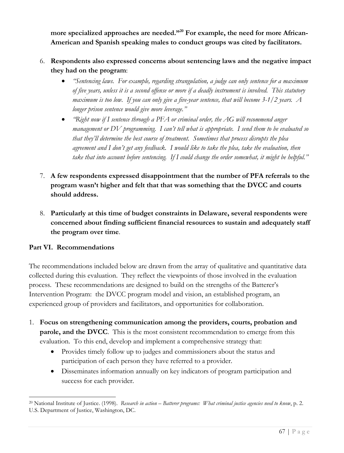more specialized approaches are needed.<sup>"20</sup> For example, the need for more African-**American and Spanish speaking males to conduct groups was cited by facilitators.**

- 6. **Respondents also expressed concerns about sentencing laws and the negative impact they had on the program**:
	- *"Sentencing laws. For example, regarding strangulation, a judge can only sentence for a maximum of five years, unless it is a second offense or more if a deadly instrument is involved. This statutory maximum is too low. If you can only give a five-year sentence, that will become 3-1/2 years. A longer prison sentence would give more leverage."*
	- *"Right now if I sentence through a PFA or criminal order, the AG will recommend anger management or DV programming. I can't tell what is appropriate. I send them to be evaluated so that they'll determine the best course of treatment. Sometimes that process disrupts the plea agreement and I don't get any feedback. I would like to take the plea, take the evaluation, then take that into account before sentencing. If I could change the order somewhat, it might be helpful."*
- 7. **A few respondents expressed disappointment that the number of PFA referrals to the program wasn't higher and felt that that was something that the DVCC and courts should address.**
- 8. **Particularly at this time of budget constraints in Delaware, several respondents were concerned about finding sufficient financial resources to sustain and adequately staff the program over time**.

## **Part VI. Recommendations**

The recommendations included below are drawn from the array of qualitative and quantitative data collected during this evaluation. They reflect the viewpoints of those involved in the evaluation process. These recommendations are designed to build on the strengths of the Batterer's Intervention Program: the DVCC program model and vision, an established program, an experienced group of providers and facilitators, and opportunities for collaboration.

- 1. **Focus on strengthening communication among the providers, courts, probation and parole, and the DVCC**. This is the most consistent recommendation to emerge from this evaluation. To this end, develop and implement a comprehensive strategy that:
	- Provides timely follow up to judges and commissioners about the status and participation of each person they have referred to a provider.
	- Disseminates information annually on key indicators of program participation and success for each provider.

<sup>20</sup> National Institute of Justice. (1998). *Research in action – Batterer programs: What criminal justice agencies need to know*, p. 2. U.S. Department of Justice, Washington, DC.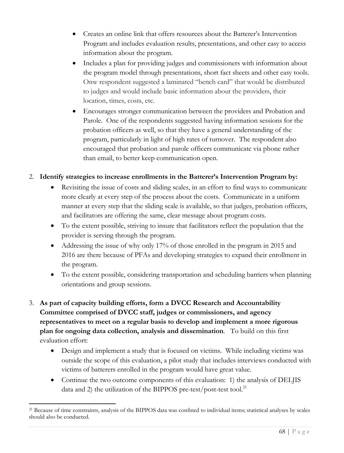- Creates an online link that offers resources about the Batterer's Intervention Program and includes evaluation results, presentations, and other easy to access information about the program.
- Includes a plan for providing judges and commissioners with information about the program model through presentations, short fact sheets and other easy tools. Onw respondent suggested a laminated "bench card" that would be distributed to judges and would include basic information about the providers, their location, times, costs, etc.
- Encourages stronger communication between the providers and Probation and Parole. One of the respondents suggested having information sessions for the probation officers as well, so that they have a general understanding of the program, particularly in light of high rates of turnover. The respondent also encouraged that probation and parole officers communicate via phone rather than email, to better keep communication open.

## 2. **Identify strategies to increase enrollments in the Batterer's Intervention Program by:**

- Revisiting the issue of costs and sliding scales, in an effort to find ways to communicate more clearly at every step of the process about the costs. Communicate in a uniform manner at every step that the sliding scale is available, so that judges, probation officers, and facilitators are offering the same, clear message about program costs.
- To the extent possible, striving to insure that facilitators reflect the population that the provider is serving through the program.
- Addressing the issue of why only 17% of those enrolled in the program in 2015 and 2016 are there because of PFAs and developing strategies to expand their enrollment in the program.
- To the extent possible, considering transportation and scheduling barriers when planning orientations and group sessions.
- 3. **As part of capacity building efforts, form a DVCC Research and Accountability Committee comprised of DVCC staff, judges or commissioners, and agency representatives to meet on a regular basis to develop and implement a more rigorous plan for ongoing data collection, analysis and dissemination**. To build on this first evaluation effort:
	- Design and implement a study that is focused on victims. While including victims was outside the scope of this evaluation, a pilot study that includes interviews conducted with victims of batterers enrolled in the program would have great value.
	- Continue the two outcome components of this evaluation: 1) the analysis of DELIIS data and 2) the utilization of the BIPPOS pre-test/post-test tool.<sup>21</sup>

<sup>21</sup> Because of time constraints, analysis of the BIPPOS data was confined to individual items; statistical analyses by scales should also be conducted.